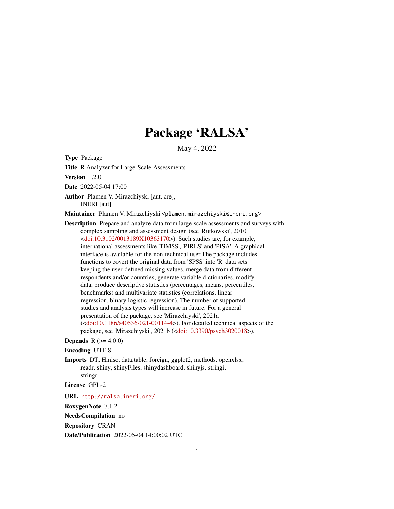# Package 'RALSA'

May 4, 2022

Type Package

Title R Analyzer for Large-Scale Assessments

Version 1.2.0

Date 2022-05-04 17:00

Author Plamen V. Mirazchiyski [aut, cre], INERI [aut]

Maintainer Plamen V. Mirazchiyski <plamen.mirazchiyski@ineri.org>

- Description Prepare and analyze data from large-scale assessments and surveys with complex sampling and assessment design (see 'Rutkowski', 2010 [<doi:10.3102/0013189X10363170>](https://doi.org/10.3102/0013189X10363170)). Such studies are, for example, international assessments like 'TIMSS', 'PIRLS' and 'PISA'. A graphical interface is available for the non-technical user.The package includes functions to covert the original data from 'SPSS' into 'R' data sets keeping the user-defined missing values, merge data from different respondents and/or countries, generate variable dictionaries, modify data, produce descriptive statistics (percentages, means, percentiles, benchmarks) and multivariate statistics (correlations, linear regression, binary logistic regression). The number of supported studies and analysis types will increase in future. For a general presentation of the package, see 'Mirazchiyski', 2021a  $\left($ [<doi:10.1186/s40536-021-00114-4>](https://doi.org/10.1186/s40536-021-00114-4)). For detailed technical aspects of the package, see 'Mirazchiyski', 2021b ([<doi:10.3390/psych3020018>](https://doi.org/10.3390/psych3020018)).
- **Depends** R  $(>= 4.0.0)$
- Encoding UTF-8
- Imports DT, Hmisc, data.table, foreign, ggplot2, methods, openxlsx, readr, shiny, shinyFiles, shinydashboard, shinyjs, stringi, stringr

License GPL-2

URL <http://ralsa.ineri.org/>

RoxygenNote 7.1.2

NeedsCompilation no

Repository CRAN

Date/Publication 2022-05-04 14:00:02 UTC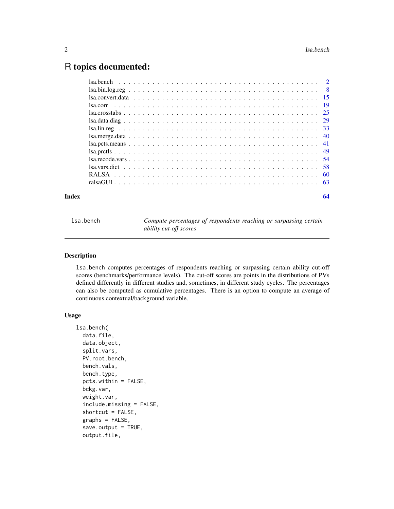# <span id="page-1-0"></span>R topics documented:

| Index | 64                                                                                                                           |  |
|-------|------------------------------------------------------------------------------------------------------------------------------|--|
|       |                                                                                                                              |  |
|       |                                                                                                                              |  |
|       |                                                                                                                              |  |
|       | $Isa.reade.vars \dots \dots \dots \dots \dots \dots \dots \dots \dots \dots \dots \dots \dots \dots \dots \dots \dots \dots$ |  |
|       | Isa. <i>prec</i> 1                                                                                                           |  |
|       |                                                                                                                              |  |
|       |                                                                                                                              |  |
|       |                                                                                                                              |  |
|       |                                                                                                                              |  |
|       |                                                                                                                              |  |
|       |                                                                                                                              |  |
|       |                                                                                                                              |  |
|       |                                                                                                                              |  |
|       |                                                                                                                              |  |

lsa.bench *Compute percentages of respondents reaching or surpassing certain ability cut-off scores*

## Description

lsa.bench computes percentages of respondents reaching or surpassing certain ability cut-off scores (benchmarks/performance levels). The cut-off scores are points in the distributions of PVs defined differently in different studies and, sometimes, in different study cycles. The percentages can also be computed as cumulative percentages. There is an option to compute an average of continuous contextual/background variable.

# Usage

```
lsa.bench(
  data.file,
  data.object,
  split.vars,
  PV.root.bench,
  bench.vals,
 bench.type,
  pcts.within = FALSE,
  bckg.var,
  weight.var,
  include.missing = FALSE,
  shortcut = FALSE,
  graphs = FALSE,
  save.output = TRUE,
  output.file,
```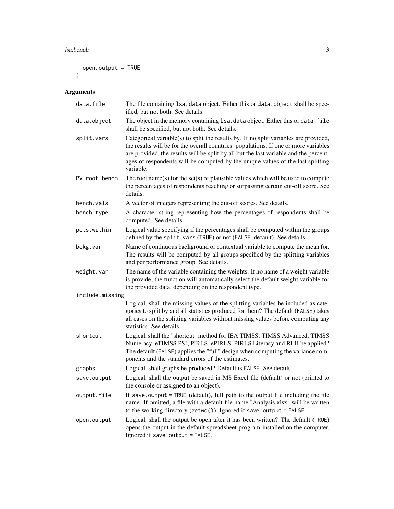#### lsa.bench 3

```
open.output = TRUE
\mathcal{L}
```
# Arguments

| data.file       | The file containing 1sa. data object. Either this or data. object shall be spec-<br>ified, but not both. See details.                                                                                                                                                                                                                                                 |
|-----------------|-----------------------------------------------------------------------------------------------------------------------------------------------------------------------------------------------------------------------------------------------------------------------------------------------------------------------------------------------------------------------|
| data.object     | The object in the memory containing 1sa. data object. Either this or data. file<br>shall be specified, but not both. See details.                                                                                                                                                                                                                                     |
| split.vars      | Categorical variable(s) to split the results by. If no split variables are provided,<br>the results will be for the overall countries' populations. If one or more variables<br>are provided, the results will be split by all but the last variable and the percent-<br>ages of respondents will be computed by the unique values of the last splitting<br>variable. |
| PV.root.bench   | The root name(s) for the set(s) of plausible values which will be used to compute<br>the percentages of respondents reaching or surpassing certain cut-off score. See<br>details.                                                                                                                                                                                     |
| bench.vals      | A vector of integers representing the cut-off scores. See details.                                                                                                                                                                                                                                                                                                    |
| bench.type      | A character string representing how the percentages of respondents shall be<br>computed. See details.                                                                                                                                                                                                                                                                 |
| pcts.within     | Logical value specifying if the percentages shall be computed within the groups<br>defined by the split. vars (TRUE) or not (FALSE, default). See details.                                                                                                                                                                                                            |
| bckg.var        | Name of continuous background or contextual variable to compute the mean for.<br>The results will be computed by all groups specified by the splitting variables<br>and per performance group. See details.                                                                                                                                                           |
| weight.var      | The name of the variable containing the weights. If no name of a weight variable<br>is provide, the function will automatically select the default weight variable for<br>the provided data, depending on the respondent type.                                                                                                                                        |
| include.missing |                                                                                                                                                                                                                                                                                                                                                                       |
|                 | Logical, shall the missing values of the splitting variables be included as cate-<br>gories to split by and all statistics produced for them? The default (FALSE) takes<br>all cases on the splitting variables without missing values before computing any<br>statistics. See details.                                                                               |
| shortcut        | Logical, shall the "shortcut" method for IEA TIMSS, TIMSS Advanced, TIMSS<br>Numeracy, eTIMSS PSI, PIRLS, ePIRLS, PIRLS Literacy and RLII be applied?<br>The default (FALSE) applies the "full" design when computing the variance com-<br>ponents and the standard errors of the estimates.                                                                          |
| graphs          | Logical, shall graphs be produced? Default is FALSE. See details.                                                                                                                                                                                                                                                                                                     |
| save.output     | Logical, shall the output be saved in MS Excel file (default) or not (printed to<br>the console or assigned to an object).                                                                                                                                                                                                                                            |
| output.file     | If save output = TRUE (default), full path to the output file including the file<br>name. If omitted, a file with a default file name "Analysis.xlsx" will be written<br>to the working directory (getwd()). Ignored if save.output = FALSE.                                                                                                                          |
| open.output     | Logical, shall the output be open after it has been written? The default (TRUE)<br>opens the output in the default spreadsheet program installed on the computer.<br>Ignored if save.output = FALSE.                                                                                                                                                                  |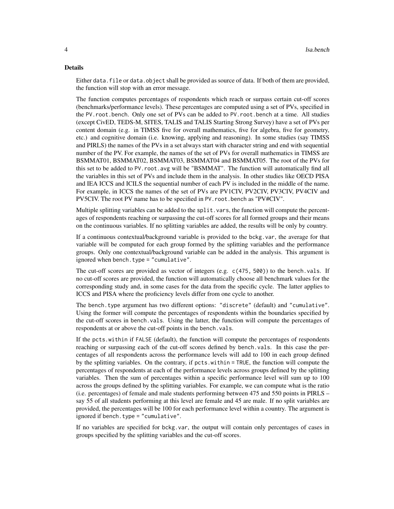#### Details

Either data. file or data. object shall be provided as source of data. If both of them are provided, the function will stop with an error message.

The function computes percentages of respondents which reach or surpass certain cut-off scores (benchmarks/performance levels). These percentages are computed using a set of PVs, specified in the PV.root.bench. Only one set of PVs can be added to PV.root.bench at a time. All studies (except CivED, TEDS-M, SITES, TALIS and TALIS Starting Strong Survey) have a set of PVs per content domain (e.g. in TIMSS five for overall mathematics, five for algebra, five for geometry, etc.) and cognitive domain (i.e. knowing, applying and reasoning). In some studies (say TIMSS and PIRLS) the names of the PVs in a set always start with character string and end with sequential number of the PV. For example, the names of the set of PVs for overall mathematics in TIMSS are BSMMAT01, BSMMAT02, BSMMAT03, BSMMAT04 and BSMMAT05. The root of the PVs for this set to be added to PV.root.avg will be "BSMMAT". The function will automatically find all the variables in this set of PVs and include them in the analysis. In other studies like OECD PISA and IEA ICCS and ICILS the sequential number of each PV is included in the middle of the name. For example, in ICCS the names of the set of PVs are PV1CIV, PV2CIV, PV3CIV, PV4CIV and PV5CIV. The root PV name has to be specified in PV.root.bench as "PV#CIV".

Multiple splitting variables can be added to the split. vars, the function will compute the percentages of respondents reaching or surpassing the cut-off scores for all formed groups and their means on the continuous variables. If no splitting variables are added, the results will be only by country.

If a continuous contextual/background variable is provided to the bckg.var, the average for that variable will be computed for each group formed by the splitting variables and the performance groups. Only one contextual/background variable can be added in the analysis. This argument is ignored when bench.type = "cumulative".

The cut-off scores are provided as vector of integers (e.g. c(475, 500)) to the bench.vals. If no cut-off scores are provided, the function will automatically choose all benchmark values for the corresponding study and, in some cases for the data from the specific cycle. The latter applies to ICCS and PISA where the proficiency levels differ from one cycle to another.

The bench.type argument has two different options: "discrete" (default) and "cumulative". Using the former will compute the percentages of respondents within the boundaries specified by the cut-off scores in bench.vals. Using the latter, the function will compute the percentages of respondents at or above the cut-off points in the bench.vals.

If the pcts.within if FALSE (default), the function will compute the percentages of respondents reaching or surpassing each of the cut-off scores defined by bench.vals. In this case the percentages of all respondents across the performance levels will add to 100 in each group defined by the splitting variables. On the contrary, if pcts.within = TRUE, the function will compute the percentages of respondents at each of the performance levels across groups defined by the splitting variables. Then the sum of percentages within a specific performance level will sum up to 100 across the groups defined by the splitting variables. For example, we can compute what is the ratio (i.e. percentages) of female and male students performing between 475 and 550 points in PIRLS – say 55 of all students performing at this level are female and 45 are male. If no split variables are provided, the percentages will be 100 for each performance level within a country. The argument is ignored if bench.type = "cumulative".

If no variables are specified for bckg.var, the output will contain only percentages of cases in groups specified by the splitting variables and the cut-off scores.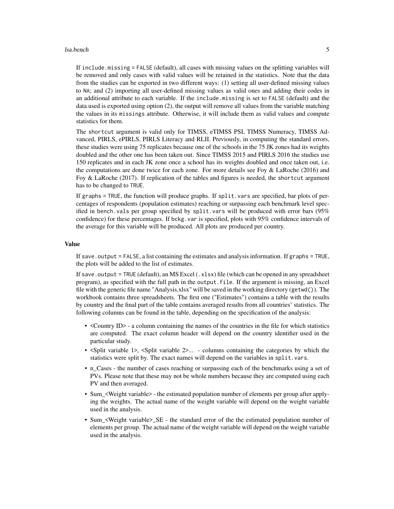#### lsa.bench 5

If include.missing = FALSE (default), all cases with missing values on the splitting variables will be removed and only cases with valid values will be retained in the statistics. Note that the data from the studies can be exported in two different ways: (1) setting all user-defined missing values to NA; and (2) importing all user-defined missing values as valid ones and adding their codes in an additional attribute to each variable. If the include.missing is set to FALSE (default) and the data used is exported using option (2), the output will remove all values from the variable matching the values in its missings attribute. Otherwise, it will include them as valid values and compute statistics for them.

The shortcut argument is valid only for TIMSS, eTIMSS PSI, TIMSS Numeracy, TIMSS Advanced, PIRLS, ePIRLS, PIRLS Literacy and RLII. Previously, in computing the standard errors, these studies were using 75 replicates because one of the schools in the 75 JK zones had its weights doubled and the other one has been taken out. Since TIMSS 2015 and PIRLS 2016 the studies use 150 replicates and in each JK zone once a school has its weights doubled and once taken out, i.e. the computations are done twice for each zone. For more details see Foy  $\&$  LaRoche (2016) and Foy & LaRoche (2017). If replication of the tables and figures is needed, the shortcut argument has to be changed to TRUE.

If graphs = TRUE, the function will produce graphs. If split.vars are specified, bar plots of percentages of respondents (population estimates) reaching or surpassing each benchmark level specified in bench.vals per group specified by split.vars will be produced with error bars (95% confidence) for these percentages. If bckg. var is specified, plots with 95% confidence intervals of the average for this variable will be produced. All plots are produced per country.

#### Value

If save.output = FALSE, a list containing the estimates and analysis information. If graphs = TRUE, the plots will be added to the list of estimates.

If save.output = TRUE (default), an MS Excel  $(.xlsx)$  file (which can be opened in any spreadsheet program), as specified with the full path in the output.file. If the argument is missing, an Excel file with the generic file name "Analysis.xlsx" will be saved in the working directory (getwd()). The workbook contains three spreadsheets. The first one ("Estimates") contains a table with the results by country and the final part of the table contains averaged results from all countries' statistics. The following columns can be found in the table, depending on the specification of the analysis:

- <Country ID> a column containing the names of the countries in the file for which statistics are computed. The exact column header will depend on the country identifier used in the particular study.
- <Split variable 1>, <Split variable 2>... columns containing the categories by which the statistics were split by. The exact names will depend on the variables in split.vars.
- n\_Cases the number of cases reaching or surpassing each of the benchmarks using a set of PVs. Please note that these may not be whole numbers because they are computed using each PV and then averaged.
- Sum\_<Weight variable> the estimated population number of elements per group after applying the weights. The actual name of the weight variable will depend on the weight variable used in the analysis.
- Sum\_<Weight variable>\_SE the standard error of the the estimated population number of elements per group. The actual name of the weight variable will depend on the weight variable used in the analysis.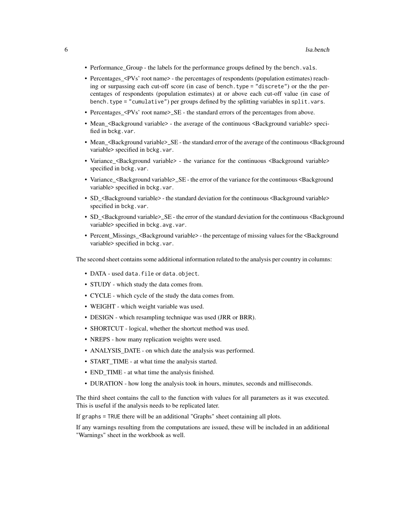- Performance\_Group the labels for the performance groups defined by the bench.vals.
- Percentages <PVs' root name> the percentages of respondents (population estimates) reaching or surpassing each cut-off score (in case of bench.type = "discrete") or the the percentages of respondents (population estimates) at or above each cut-off value (in case of bench.type = "cumulative") per groups defined by the splitting variables in split.vars.
- Percentages\_<PVs' root name>\_SE the standard errors of the percentages from above.
- Mean\_<Background variable> the average of the continuous <Background variable> specified in bckg.var.
- Mean <Background variable>\_SE the standard error of the average of the continuous <Background variable> specified in bckg.var.
- Variance <Background variable> the variance for the continuous <Background variable> specified in bckg.var.
- Variance\_<Background variable>\_SE the error of the variance for the continuous <Background variable> specified in bckg.var.
- SD\_<Background variable> the standard deviation for the continuous <Background variable> specified in bckg.var.
- SD <Background variable>\_SE the error of the standard deviation for the continuous <Background variable> specified in bckg.avg.var.
- Percent Missings <Background variable> the percentage of missing values for the <br/>Background variable> specified in bckg.var.

The second sheet contains some additional information related to the analysis per country in columns:

- DATA used data.file or data.object.
- STUDY which study the data comes from.
- CYCLE which cycle of the study the data comes from.
- WEIGHT which weight variable was used.
- DESIGN which resampling technique was used (JRR or BRR).
- SHORTCUT logical, whether the shortcut method was used.
- NREPS how many replication weights were used.
- ANALYSIS\_DATE on which date the analysis was performed.
- START TIME at what time the analysis started.
- END\_TIME at what time the analysis finished.
- DURATION how long the analysis took in hours, minutes, seconds and milliseconds.

The third sheet contains the call to the function with values for all parameters as it was executed. This is useful if the analysis needs to be replicated later.

If graphs = TRUE there will be an additional "Graphs" sheet containing all plots.

If any warnings resulting from the computations are issued, these will be included in an additional "Warnings" sheet in the workbook as well.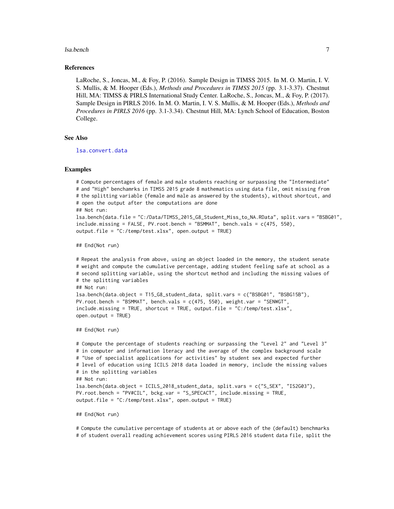#### <span id="page-6-0"></span>lsa.bench 7

#### References

LaRoche, S., Joncas, M., & Foy, P. (2016). Sample Design in TIMSS 2015. In M. O. Martin, I. V. S. Mullis, & M. Hooper (Eds.), *Methods and Procedures in TIMSS 2015* (pp. 3.1-3.37). Chestnut Hill, MA: TIMSS & PIRLS International Study Center. LaRoche, S., Joncas, M., & Foy, P. (2017). Sample Design in PIRLS 2016. In M. O. Martin, I. V. S. Mullis, & M. Hooper (Eds.), *Methods and Procedures in PIRLS 2016* (pp. 3.1-3.34). Chestnut Hill, MA: Lynch School of Education, Boston College.

#### See Also

[lsa.convert.data](#page-14-1)

#### Examples

# Compute percentages of female and male students reaching or surpassing the "Intermediate" # and "High" benchamrks in TIMSS 2015 grade 8 mathematics using data file, omit missing from # the splitting variable (female and male as answered by the students), without shortcut, and # open the output after the computations are done ## Not run: lsa.bench(data.file = "C:/Data/TIMSS\_2015\_G8\_Student\_Miss\_to\_NA.RData", split.vars = "BSBG01", include.missing = FALSE, PV.root.bench = "BSMMAT", bench.vals = c(475, 550),  $output.file = "C://temp/test.xlsx", open.output = TRUE)$ 

## End(Not run)

```
# Repeat the analysis from above, using an object loaded in the memory, the student senate
# weight and compute the cumulative percentage, adding student feeling safe at school as a
# second splitting variable, using the shortcut method and including the missing values of
# the splitting variables
## Not run:
lsa.bench(data.object = T15_G8_student_data, split.vars = c("BSBG01", "BSBG15B"),
PV.root.bench = "BSMMAT", bench.vals = c(475, 550), weight.var = "SENWGT",
include.missing = TRUE, shortcut = TRUE, output.file = "C:/temp/test.xlsx",
open.output = TRUE)
```
## End(Not run)

```
# Compute the percentage of students reaching or surpassing the "Level 2" and "Level 3"
# in computer and information lteracy and the average of the complex background scale
# "Use of specialist applications for activities" by student sex and expected further
# level of education using ICILS 2018 data loaded in memory, include the missing values
# in the splitting variables
## Not run:
lsa.bench(data.object = ICILS_2018_student_data, split.vars = c("S_SEX", "IS2G03"),
PV.root.bench = "PV#CIL", bckg.var = "S_SPECACT", include.missing = TRUE,
output.file = "C:/temp/test.xlsx", open.output = TRUE)
```
## End(Not run)

# Compute the cumulative percentage of students at or above each of the (default) benchmarks # of student overall reading achievement scores using PIRLS 2016 student data file, split the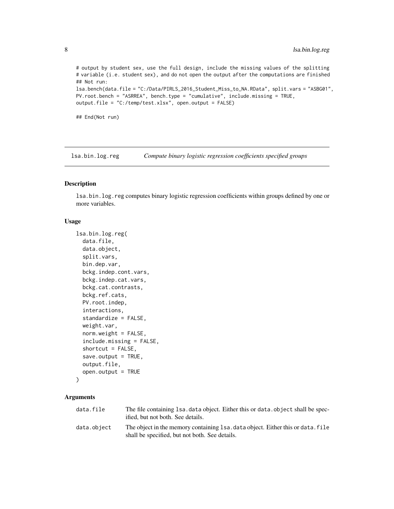# output by student sex, use the full design, include the missing values of the splitting # variable (i.e. student sex), and do not open the output after the computations are finished ## Not run: lsa.bench(data.file = "C:/Data/PIRLS\_2016\_Student\_Miss\_to\_NA.RData", split.vars = "ASBG01", PV.root.bench = "ASRREA", bench.type = "cumulative", include.missing = TRUE, output.file = "C:/temp/test.xlsx", open.output = FALSE)

## End(Not run)

lsa.bin.log.reg *Compute binary logistic regression coefficients specified groups*

# Description

lsa.bin.log.reg computes binary logistic regression coefficients within groups defined by one or more variables.

#### Usage

```
lsa.bin.log.reg(
  data.file,
  data.object,
  split.vars,
  bin.dep.var,
  bckg.indep.cont.vars,
 bckg.indep.cat.vars,
  bckg.cat.contrasts,
  bckg.ref.cats,
 PV.root.indep,
  interactions,
  standardize = FALSE,
  weight.var,
  norm.weight = FALSE,
  include.missing = FALSE,
  shortcut = FALSE,
  save.output = TRUE,
  output.file,
  open.output = TRUE
\mathcal{L}
```
# Arguments

| data.file   | The file containing 1sa, data object. Either this or data, object shall be spec-<br>ified, but not both. See details.             |
|-------------|-----------------------------------------------------------------------------------------------------------------------------------|
| data.object | The object in the memory containing 1sa, data object. Either this or data, file<br>shall be specified, but not both. See details. |

<span id="page-7-0"></span>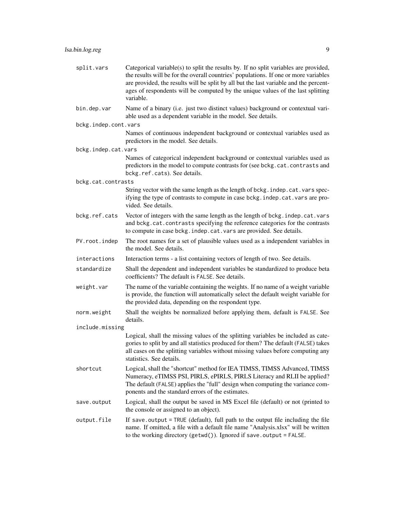| split.vars           | Categorical variable(s) to split the results by. If no split variables are provided,<br>the results will be for the overall countries' populations. If one or more variables<br>are provided, the results will be split by all but the last variable and the percent-<br>ages of respondents will be computed by the unique values of the last splitting<br>variable. |
|----------------------|-----------------------------------------------------------------------------------------------------------------------------------------------------------------------------------------------------------------------------------------------------------------------------------------------------------------------------------------------------------------------|
| bin.dep.var          | Name of a binary (i.e. just two distinct values) background or contextual vari-<br>able used as a dependent variable in the model. See details.                                                                                                                                                                                                                       |
| bckg.indep.cont.vars |                                                                                                                                                                                                                                                                                                                                                                       |
|                      | Names of continuous independent background or contextual variables used as<br>predictors in the model. See details.                                                                                                                                                                                                                                                   |
| bckg.indep.cat.vars  | Names of categorical independent background or contextual variables used as<br>predictors in the model to compute contrasts for (see bckg.cat.contrasts and<br>bckg.ref.cats). See details.                                                                                                                                                                           |
| bckg.cat.contrasts   |                                                                                                                                                                                                                                                                                                                                                                       |
|                      | String vector with the same length as the length of bckg. indep.cat.vars spec-<br>ifying the type of contrasts to compute in case bckg. indep. cat. vars are pro-<br>vided. See details.                                                                                                                                                                              |
| bckg.ref.cats        | Vector of integers with the same length as the length of bckg. indep.cat.vars<br>and bckg.cat.contrasts specifying the reference categories for the contrasts<br>to compute in case bckg. indep. cat. vars are provided. See details.                                                                                                                                 |
| PV.root.indep        | The root names for a set of plausible values used as a independent variables in<br>the model. See details.                                                                                                                                                                                                                                                            |
| interactions         | Interaction terms - a list containing vectors of length of two. See details.                                                                                                                                                                                                                                                                                          |
| standardize          | Shall the dependent and independent variables be standardized to produce beta<br>coefficients? The default is FALSE. See details.                                                                                                                                                                                                                                     |
| weight.var           | The name of the variable containing the weights. If no name of a weight variable<br>is provide, the function will automatically select the default weight variable for<br>the provided data, depending on the respondent type.                                                                                                                                        |
| norm.weight          | Shall the weights be normalized before applying them, default is FALSE. See<br>details.                                                                                                                                                                                                                                                                               |
| include.missing      |                                                                                                                                                                                                                                                                                                                                                                       |
|                      | Logical, shall the missing values of the splitting variables be included as cate-<br>gories to split by and all statistics produced for them? The default (FALSE) takes<br>all cases on the splitting variables without missing values before computing any<br>statistics. See details.                                                                               |
| shortcut             | Logical, shall the "shortcut" method for IEA TIMSS, TIMSS Advanced, TIMSS<br>Numeracy, eTIMSS PSI, PIRLS, ePIRLS, PIRLS Literacy and RLII be applied?<br>The default (FALSE) applies the "full" design when computing the variance com-<br>ponents and the standard errors of the estimates.                                                                          |
| save.output          | Logical, shall the output be saved in MS Excel file (default) or not (printed to<br>the console or assigned to an object).                                                                                                                                                                                                                                            |
| output.file          | If save output = TRUE (default), full path to the output file including the file<br>name. If omitted, a file with a default file name "Analysis.xlsx" will be written<br>to the working directory (getwd()). Ignored if save.output = FALSE.                                                                                                                          |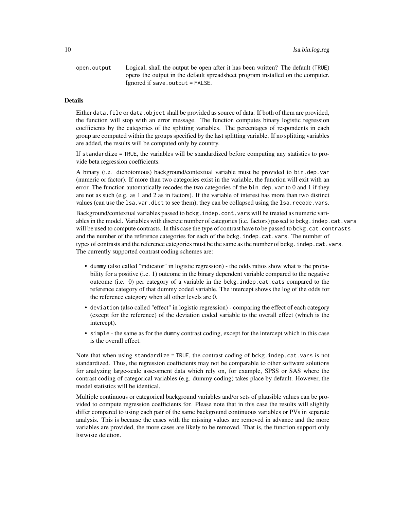open.output Logical, shall the output be open after it has been written? The default (TRUE) opens the output in the default spreadsheet program installed on the computer. Ignored if save.output = FALSE.

# **Details**

Either data. file or data. object shall be provided as source of data. If both of them are provided, the function will stop with an error message. The function computes binary logistic regression coefficients by the categories of the splitting variables. The percentages of respondents in each group are computed within the groups specified by the last splitting variable. If no splitting variables are added, the results will be computed only by country.

If standardize = TRUE, the variables will be standardized before computing any statistics to provide beta regression coefficients.

A binary (i.e. dichotomous) background/contextual variable must be provided to bin.dep.var (numeric or factor). If more than two categories exist in the variable, the function will exit with an error. The function automatically recodes the two categories of the bin.dep.var to 0 and 1 if they are not as such (e.g. as 1 and 2 as in factors). If the variable of interest has more than two distinct values (can use the lsa.var.dict to see them), they can be collapsed using the lsa.recode.vars.

Background/contextual variables passed to bckg. indep.cont. vars will be treated as numeric variables in the model. Variables with discrete number of categories (i.e. factors) passed to bckg.indep.cat.vars will be used to compute contrasts. In this case the type of contrast have to be passed to bckg.cat.contrasts and the number of the reference categories for each of the bckg.indep.cat.vars. The number of types of contrasts and the reference categories must be the same as the number of bckg. indep.cat.vars. The currently supported contrast coding schemes are:

- dummy (also called "indicator" in logistic regression) the odds ratios show what is the probability for a positive (i.e. 1) outcome in the binary dependent variable compared to the negative outcome (i.e. 0) per category of a variable in the bckg.indep.cat.cats compared to the reference category of that dummy coded variable. The intercept shows the log of the odds for the reference category when all other levels are 0.
- deviation (also called "effect" in logistic regression) comparing the effect of each category (except for the reference) of the deviation coded variable to the overall effect (which is the intercept).
- simple the same as for the dummy contrast coding, except for the intercept which in this case is the overall effect.

Note that when using standardize = TRUE, the contrast coding of bckg.indep.cat.vars is not standardized. Thus, the regression coefficients may not be comparable to other software solutions for analyzing large-scale assessment data which rely on, for example, SPSS or SAS where the contrast coding of categorical variables (e.g. dummy coding) takes place by default. However, the model statistics will be identical.

Multiple continuous or categorical background variables and/or sets of plausible values can be provided to compute regression coefficients for. Please note that in this case the results will slightly differ compared to using each pair of the same background continuous variables or PVs in separate analysis. This is because the cases with the missing values are removed in advance and the more variables are provided, the more cases are likely to be removed. That is, the function support only listwisie deletion.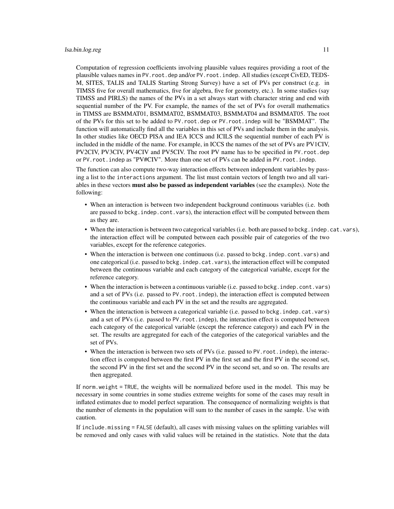Computation of regression coefficients involving plausible values requires providing a root of the plausible values names in PV.root.dep and/or PV.root.indep. All studies (except CivED, TEDS-M, SITES, TALIS and TALIS Starting Strong Survey) have a set of PVs per construct (e.g. in TIMSS five for overall mathematics, five for algebra, five for geometry, etc.). In some studies (say TIMSS and PIRLS) the names of the PVs in a set always start with character string and end with sequential number of the PV. For example, the names of the set of PVs for overall mathematics in TIMSS are BSMMAT01, BSMMAT02, BSMMAT03, BSMMAT04 and BSMMAT05. The root of the PVs for this set to be added to PV.root.dep or PV.root.indep will be "BSMMAT". The function will automatically find all the variables in this set of PVs and include them in the analysis. In other studies like OECD PISA and IEA ICCS and ICILS the sequential number of each PV is included in the middle of the name. For example, in ICCS the names of the set of PVs are PV1CIV, PV2CIV, PV3CIV, PV4CIV and PV5CIV. The root PV name has to be specified in PV.root.dep or PV.root.indep as "PV#CIV". More than one set of PVs can be added in PV.root.indep.

The function can also compute two-way interaction effects between independent variables by passing a list to the interactions argument. The list must contain vectors of length two and all variables in these vectors **must also be passed as independent variables** (see the examples). Note the following:

- When an interaction is between two independent background continuous variables (i.e. both are passed to bckg.indep.cont.vars), the interaction effect will be computed between them as they are.
- When the interaction is between two categorical variables (i.e. both are passed to bckg.indep.cat.vars), the interaction effect will be computed between each possible pair of categories of the two variables, except for the reference categories.
- When the interaction is between one continuous (i.e. passed to bckg. indep.cont.vars) and one categorical (i.e. passed to bckg.indep.cat.vars), the interaction effect will be computed between the continuous variable and each category of the categorical variable, except for the reference category.
- When the interaction is between a continuous variable (i.e. passed to bckg. indep. cont. vars) and a set of PVs (i.e. passed to PV.root.indep), the interaction effect is computed between the continuous variable and each PV in the set and the results are aggregated.
- When the interaction is between a categorical variable (i.e. passed to bckg.indep.cat.vars) and a set of PVs (i.e. passed to PV.root.indep), the interaction effect is computed between each category of the categorical variable (except the reference category) and each PV in the set. The results are aggregated for each of the categories of the categorical variables and the set of PVs.
- When the interaction is between two sets of PVs (i.e. passed to PV. root. indep), the interaction effect is computed between the first PV in the first set and the first PV in the second set, the second PV in the first set and the second PV in the second set, and so on. The results are then aggregated.

If norm.weight = TRUE, the weights will be normalized before used in the model. This may be necessary in some countries in some studies extreme weights for some of the cases may result in inflated estimates due to model perfect separation. The consequence of normalizing weights is that the number of elements in the population will sum to the number of cases in the sample. Use with caution.

If include.missing = FALSE (default), all cases with missing values on the splitting variables will be removed and only cases with valid values will be retained in the statistics. Note that the data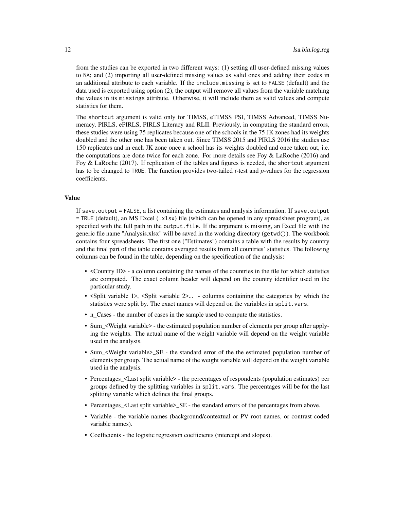from the studies can be exported in two different ways: (1) setting all user-defined missing values to NA; and (2) importing all user-defined missing values as valid ones and adding their codes in an additional attribute to each variable. If the include.missing is set to FALSE (default) and the data used is exported using option (2), the output will remove all values from the variable matching the values in its missings attribute. Otherwise, it will include them as valid values and compute statistics for them.

The shortcut argument is valid only for TIMSS, eTIMSS PSI, TIMSS Advanced, TIMSS Numeracy, PIRLS, ePIRLS, PIRLS Literacy and RLII. Previously, in computing the standard errors, these studies were using 75 replicates because one of the schools in the 75 JK zones had its weights doubled and the other one has been taken out. Since TIMSS 2015 and PIRLS 2016 the studies use 150 replicates and in each JK zone once a school has its weights doubled and once taken out, i.e. the computations are done twice for each zone. For more details see Foy  $\&$  LaRoche (2016) and Foy & LaRoche (2017). If replication of the tables and figures is needed, the shortcut argument has to be changed to TRUE. The function provides two-tailed *t*-test and *p*-values for the regression coefficients.

#### Value

If save.output = FALSE, a list containing the estimates and analysis information. If save.output = TRUE (default), an MS Excel (.xlsx) file (which can be opened in any spreadsheet program), as specified with the full path in the output.file. If the argument is missing, an Excel file with the generic file name "Analysis.xlsx" will be saved in the working directory (getwd()). The workbook contains four spreadsheets. The first one ("Estimates") contains a table with the results by country and the final part of the table contains averaged results from all countries' statistics. The following columns can be found in the table, depending on the specification of the analysis:

- <Country ID> a column containing the names of the countries in the file for which statistics are computed. The exact column header will depend on the country identifier used in the particular study.
- <Split variable 1>, <Split variable 2>... columns containing the categories by which the statistics were split by. The exact names will depend on the variables in split.vars.
- n\_Cases the number of cases in the sample used to compute the statistics.
- Sum\_<Weight variable> the estimated population number of elements per group after applying the weights. The actual name of the weight variable will depend on the weight variable used in the analysis.
- Sum\_<Weight variable>\_SE the standard error of the the estimated population number of elements per group. The actual name of the weight variable will depend on the weight variable used in the analysis.
- Percentages\_<Last split variable> the percentages of respondents (population estimates) per groups defined by the splitting variables in split.vars. The percentages will be for the last splitting variable which defines the final groups.
- Percentages <Last split variable>\_SE the standard errors of the percentages from above.
- Variable the variable names (background/contextual or PV root names, or contrast coded variable names).
- Coefficients the logistic regression coefficients (intercept and slopes).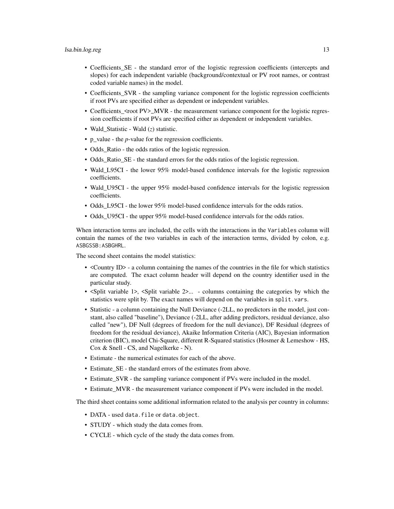- Coefficients\_SE the standard error of the logistic regression coefficients (intercepts and slopes) for each independent variable (background/contextual or PV root names, or contrast coded variable names) in the model.
- Coefficients\_SVR the sampling variance component for the logistic regression coefficients if root PVs are specified either as dependent or independent variables.
- Coefficients <root PV>\_MVR the measurement variance component for the logistic regression coefficients if root PVs are specified either as dependent or independent variables.
- Wald Statistic Wald (*z*) statistic.
- p\_value the *p*-value for the regression coefficients.
- Odds Ratio the odds ratios of the logistic regression.
- Odds Ratio SE the standard errors for the odds ratios of the logistic regression.
- Wald\_L95CI the lower 95% model-based confidence intervals for the logistic regression coefficients.
- Wald\_U95CI the upper 95% model-based confidence intervals for the logistic regression coefficients.
- Odds L95CI the lower 95% model-based confidence intervals for the odds ratios.
- Odds\_U95CI the upper 95% model-based confidence intervals for the odds ratios.

When interaction terms are included, the cells with the interactions in the Variables column will contain the names of the two variables in each of the interaction terms, divided by colon, e.g. ASBGSSB:ASBGHRL.

The second sheet contains the model statistics:

- <Country ID> a column containing the names of the countries in the file for which statistics are computed. The exact column header will depend on the country identifier used in the particular study.
- <Split variable 1>, <Split variable 2>... columns containing the categories by which the statistics were split by. The exact names will depend on the variables in split.vars.
- Statistic a column containing the Null Deviance (-2LL, no predictors in the model, just constant, also called "baseline"), Deviance (-2LL, after adding predictors, residual deviance, also called "new"), DF Null (degrees of freedom for the null deviance), DF Residual (degrees of freedom for the residual deviance), Akaike Information Criteria (AIC), Bayesian information criterion (BIC), model Chi-Square, different R-Squared statistics (Hosmer & Lemeshow - HS, Cox & Snell - CS, and Nagelkerke - N).
- Estimate the numerical estimates for each of the above.
- Estimate SE the standard errors of the estimates from above.
- Estimate\_SVR the sampling variance component if PVs were included in the model.
- Estimate\_MVR the measurement variance component if PVs were included in the model.

The third sheet contains some additional information related to the analysis per country in columns:

- DATA used data.file or data.object.
- STUDY which study the data comes from.
- CYCLE which cycle of the study the data comes from.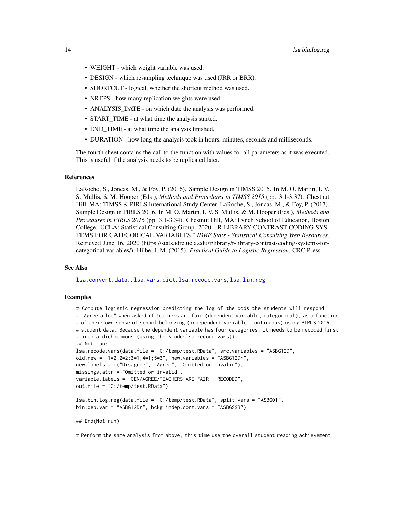- <span id="page-13-0"></span>• WEIGHT - which weight variable was used.
- DESIGN which resampling technique was used (JRR or BRR).
- SHORTCUT logical, whether the shortcut method was used.
- NREPS how many replication weights were used.
- ANALYSIS\_DATE on which date the analysis was performed.
- START\_TIME at what time the analysis started.
- END TIME at what time the analysis finished.
- DURATION how long the analysis took in hours, minutes, seconds and milliseconds.

The fourth sheet contains the call to the function with values for all parameters as it was executed. This is useful if the analysis needs to be replicated later.

#### References

LaRoche, S., Joncas, M., & Foy, P. (2016). Sample Design in TIMSS 2015. In M. O. Martin, I. V. S. Mullis, & M. Hooper (Eds.), *Methods and Procedures in TIMSS 2015* (pp. 3.1-3.37). Chestnut Hill, MA: TIMSS & PIRLS International Study Center. LaRoche, S., Joncas, M., & Foy, P. (2017). Sample Design in PIRLS 2016. In M. O. Martin, I. V. S. Mullis, & M. Hooper (Eds.), *Methods and Procedures in PIRLS 2016* (pp. 3.1-3.34). Chestnut Hill, MA: Lynch School of Education, Boston College. UCLA: Statistical Consulting Group. 2020. "R LIBRARY CONTRAST CODING SYS-TEMS FOR CATEGORICAL VARIABLES." *IDRE Stats - Statistical Consulting Web Resources*. Retrieved June 16, 2020 (https://stats.idre.ucla.edu/r/library/r-library-contrast-coding-systems-forcategorical-variables/). Hilbe, J. M. (2015). *Practical Guide to Logistic Regression*. CRC Press.

#### See Also

[lsa.convert.data](#page-14-1), , [lsa.vars.dict](#page-57-1), [lsa.recode.vars](#page-53-1), [lsa.lin.reg](#page-32-1)

#### Examples

# Compute logistic regression predicting the log of the odds the students will respond # "Agree a lot" when asked if teachers are fair (dependent variable, categorical), as a function # of their own sense of school belonging (independent variable, continuous) using PIRLS 2016 # student data. Because the dependent variable has four categories, it needs to be recoded first # into a dichotomous (using the \code{lsa.recode.vars}). ## Not run: lsa.recode.vars(data.file = "C:/temp/test.RData", src.variables = "ASBG12D", old.new = "1=2;2=2;3=1;4=1;5=3", new.variables = "ASBG12Dr", new.labels = c("Disagree", "Agree", "Omitted or invalid"), missings.attr = "Omitted or invalid", variable.labels = "GEN/AGREE/TEACHERS ARE FAIR - RECODED", out.file = "C:/temp/test.RData") lsa.bin.log.reg(data.file = "C:/temp/test.RData", split.vars = "ASBG01", bin.dep.var = "ASBG12Dr", bckg.indep.cont.vars = "ASBGSSB") ## End(Not run)

# Perform the same analysis from above, this time use the overall student reading achievement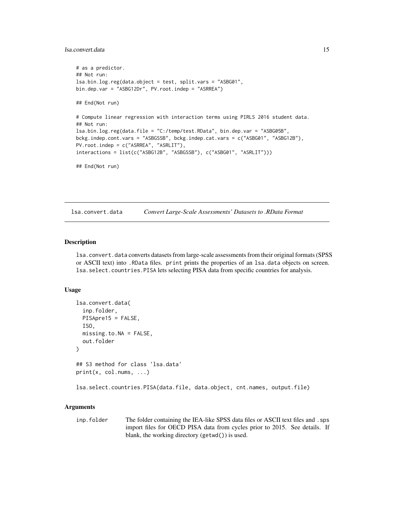# <span id="page-14-0"></span>lsa.convert.data 15

```
# as a predictor.
## Not run:
lsa.bin.log.reg(data.object = test, split.vars = "ASBG01",
bin.dep.var = "ASBG12Dr", PV.root.indep = "ASRREA")
## End(Not run)
# Compute linear regression with interaction terms using PIRLS 2016 student data.
## Not run:
lsa.bin.log.reg(data.file = "C:/temp/test.RData", bin.dep.var = "ASBG05B",
bckg.indep.cont.vars = "ASBGSSB", bckg.indep.cat.vars = c("ASBG01", "ASBG12B"),
PV.root.indep = c("ASRREA", "ASRLIT"),
interactions = list(c("ASBG12B", "ASBGSSB"), c("ASBG01", "ASRLIT")))
## End(Not run)
```
<span id="page-14-1"></span>lsa.convert.data *Convert Large-Scale Assessments' Datasets to .RData Format*

#### Description

lsa.convert.data converts datasets from large-scale assessments from their original formats (SPSS or ASCII text) into .RData files. print prints the properties of an lsa.data objects on screen. lsa.select.countries.PISA lets selecting PISA data from specific countries for analysis.

#### Usage

```
lsa.convert.data(
  inp.folder,
 PISApre15 = FALSE,
  ISO,
 missing.to.NA = FALSE,
  out.folder
\lambda## S3 method for class 'lsa.data'
print(x, col.nums, ...)
lsa.select.countries.PISA(data.file, data.object, cnt.names, output.file)
```
#### Arguments

inp. folder The folder containing the IEA-like SPSS data files or ASCII text files and . sps import files for OECD PISA data from cycles prior to 2015. See details. If blank, the working directory (getwd()) is used.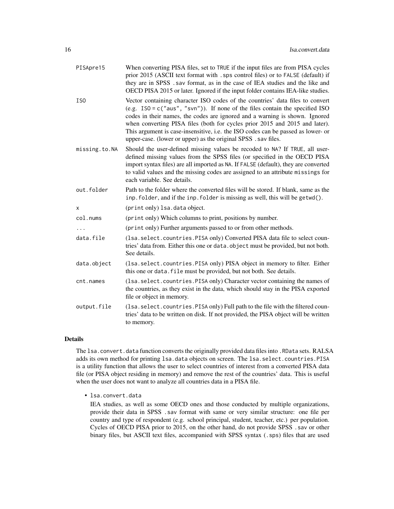| PISApre15       | When converting PISA files, set to TRUE if the input files are from PISA cycles<br>prior 2015 (ASCII text format with . sps control files) or to FALSE (default) if<br>they are in SPSS. sav format, as in the case of IEA studies and the like and<br>OECD PISA 2015 or later. Ignored if the input folder contains IEA-like studies.                                                                                                                                               |
|-----------------|--------------------------------------------------------------------------------------------------------------------------------------------------------------------------------------------------------------------------------------------------------------------------------------------------------------------------------------------------------------------------------------------------------------------------------------------------------------------------------------|
| IS <sub>0</sub> | Vector containing character ISO codes of the countries' data files to convert<br>(e.g. $ISO = c("aus", "svn")$ ). If none of the files contain the specified ISO<br>codes in their names, the codes are ignored and a warning is shown. Ignored<br>when converting PISA files (both for cycles prior 2015 and 2015 and later).<br>This argument is case-insensitive, i.e. the ISO codes can be passed as lower- or<br>upper-case. (lower or upper) as the original SPSS . sav files. |
| missing.to.NA   | Should the user-defined missing values be recoded to NA? If TRUE, all user-<br>defined missing values from the SPSS files (or specified in the OECD PISA<br>import syntax files) are all imported as NA. If FALSE (default), they are converted<br>to valid values and the missing codes are assigned to an attribute missings for<br>each variable. See details.                                                                                                                    |
| out.folder      | Path to the folder where the converted files will be stored. If blank, same as the<br>inp. folder, and if the inp. folder is missing as well, this will be getwd().                                                                                                                                                                                                                                                                                                                  |
| x               | (print only) lsa.data object.                                                                                                                                                                                                                                                                                                                                                                                                                                                        |
| col.nums        | (print only) Which columns to print, positions by number.                                                                                                                                                                                                                                                                                                                                                                                                                            |
|                 | (print only) Further arguments passed to or from other methods.                                                                                                                                                                                                                                                                                                                                                                                                                      |
| data.file       | (1sa. select. countries. PISA only) Converted PISA data file to select coun-<br>tries' data from. Either this one or data. object must be provided, but not both.<br>See details.                                                                                                                                                                                                                                                                                                    |
| data.object     | (1sa. select. countries. PISA only) PISA object in memory to filter. Either<br>this one or data. file must be provided, but not both. See details.                                                                                                                                                                                                                                                                                                                                   |
| cnt.names       | (1sa. select. countries. PISA only) Character vector containing the names of<br>the countries, as they exist in the data, which should stay in the PISA exported<br>file or object in memory.                                                                                                                                                                                                                                                                                        |
| output.file     | (lsa. select. countries. PISA only) Full path to the file with the filtered coun-<br>tries' data to be written on disk. If not provided, the PISA object will be written<br>to memory.                                                                                                                                                                                                                                                                                               |
|                 |                                                                                                                                                                                                                                                                                                                                                                                                                                                                                      |

# Details

The lsa.convert.data function converts the originally provided data files into .RData sets. RALSA adds its own method for printing lsa.data objects on screen. The lsa.select.countries.PISA is a utility function that allows the user to select countries of interest from a converted PISA data file (or PISA object residing in memory) and remove the rest of the countries' data. This is useful when the user does not want to analyze all countries data in a PISA file.

• lsa.convert.data

IEA studies, as well as some OECD ones and those conducted by multiple organizations, provide their data in SPSS .sav format with same or very similar structure: one file per country and type of respondent (e.g. school principal, student, teacher, etc.) per population. Cycles of OECD PISA prior to 2015, on the other hand, do not provide SPSS .sav or other binary files, but ASCII text files, accompanied with SPSS syntax (.sps) files that are used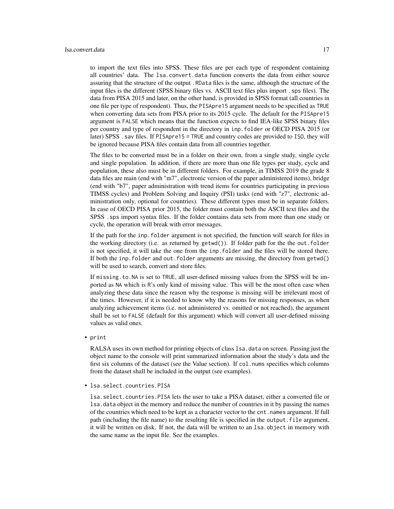#### lsa.convert.data 17

to import the text files into SPSS. These files are per each type of respondent containing all countries' data. The lsa.convert.data function converts the data from either source assuring that the structure of the output .RData files is the same, although the structure of the input files is the different (SPSS binary files vs. ASCII text files plus import .sps files). The data from PISA 2015 and later, on the other hand, is provided in SPSS format (all countries in one file per type of respondent). Thus, the PISApre15 argument needs to be specified as TRUE when converting data sets from PISA prior to its 2015 cycle. The default for the PISApre15 argument is FALSE which means that the function expects to find IEA-like SPSS binary files per country and type of respondent in the directory in inp.folder or OECD PISA 2015 (or later) SPSS .sav files. If PISApre15 = TRUE and country codes are provided to ISO, they will be ignored because PISA files contain data from all countries together.

The files to be converted must be in a folder on their own, from a single study, single cycle and single population. In addition, if there are more than one file types per study, cycle and population, these also must be in different folders. For example, in TIMSS 2019 the grade 8 data files are main (end with "m7", electronic version of the paper administered items), bridge (end with "b7", paper administration with trend items for countries participating in previous TIMSS cycles) and Problem Solving and Inquiry (PSI) tasks (end with "z7", electronic administration only, optional for countries). These different types must be in separate folders. In case of OECD PISA prior 2015, the folder must contain both the ASCII text files and the SPSS .sps import syntax files. If the folder contains data sets from more than one study or cycle, the operation will break with error messages.

If the path for the inp.folder argument is not specified, the function will search for files in the working directory (i.e. as returned by getwd()). If folder path for the the out.folder is not specified, it will take the one from the inp.folder and the files will be stored there. If both the inp.folder and out.folder arguments are missing, the directory from getwd() will be used to search, convert and store files.

If missing.to.NA is set to TRUE, all user-defined missing values from the SPSS will be imported as NA which is R's only kind of missing value. This will be the most often case when analyzing these data since the reason why the response is missing will be irrelevant most of the times. However, if it is needed to know why the reasons for missing responses, as when analyzing achievement items (i.e. not administered vs. omitted or not reached), the argument shall be set to FALSE (default for this argument) which will convert all user-defined missing values as valid ones.

• print

RALSA uses its own method for printing objects of class 1sa.data on screen. Passing just the object name to the console will print summarized information about the study's data and the first six columns of the dataset (see the Value section). If col.nums specifies which columns from the dataset shall be included in the output (see examples).

• lsa.select.countries.PISA

lsa.select.countries.PISA lets the user to take a PISA dataset, either a converted file or lsa.data object in the memory and reduce the number of countries in it by passing the names of the countries which need to be kept as a character vector to the cnt.names argument. If full path (including the file name) to the resulting file is specified in the output.file argument, it will be written on disk. If not, the data will be written to an lsa.object in memory with the same name as the input file. See the examples.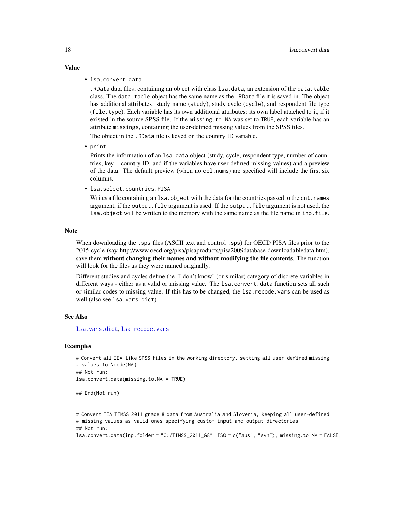- Value
	- lsa.convert.data

.RData data files, containing an object with class lsa.data, an extension of the data.table class. The data.table object has the same name as the .RData file it is saved in. The object has additional attributes: study name (study), study cycle (cycle), and respondent file type (file.type). Each variable has its own additional attributes: its own label attached to it, if it existed in the source SPSS file. If the missing.to.NA was set to TRUE, each variable has an attribute missings, containing the user-defined missing values from the SPSS files.

The object in the .RData file is keyed on the country ID variable.

• print

Prints the information of an lsa.data object (study, cycle, respondent type, number of countries, key – country ID, and if the variables have user-defined missing values) and a preview of the data. The default preview (when no col.nums) are specified will include the first six columns.

• lsa.select.countries.PISA

Writes a file containing an lsa.object with the data for the countries passed to the cnt.names argument, if the output.file argument is used. If the output.file argument is not used, the lsa.object will be written to the memory with the same name as the file name in inp.file.

#### Note

When downloading the .sps files (ASCII text and control .sps) for OECD PISA files prior to the 2015 cycle (say http://www.oecd.org/pisa/pisaproducts/pisa2009database-downloadabledata.htm), save them without changing their names and without modifying the file contents. The function will look for the files as they were named originally.

Different studies and cycles define the "I don't know" (or similar) category of discrete variables in different ways - either as a valid or missing value. The lsa.convert.data function sets all such or similar codes to missing value. If this has to be changed, the lsa.recode.vars can be used as well (also see lsa.vars.dict).

### See Also

[lsa.vars.dict](#page-57-1), [lsa.recode.vars](#page-53-1)

#### Examples

```
# Convert all IEA-like SPSS files in the working directory, setting all user-defined missing
# values to \code{NA}
## Not run:
lsa.convert.data(missing.to.NA = TRUE)
```

```
## End(Not run)
```

```
# Convert IEA TIMSS 2011 grade 8 data from Australia and Slovenia, keeping all user-defined
# missing values as valid ones specifying custom input and output directories
## Not run:
lsa.convert.data(inp.folder = "C:/TIMSS_2011_G8", ISO = c("aus", "svn"), missing.to.NA = FALSE,
```
<span id="page-17-0"></span>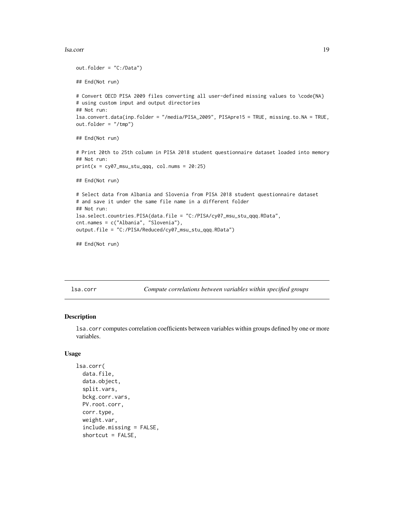#### <span id="page-18-0"></span>lsa.corr and the state of the state of the state of the state of the state of the state of the state of the state of the state of the state of the state of the state of the state of the state of the state of the state of t

```
out.folder = "C:/Data")
## End(Not run)
# Convert OECD PISA 2009 files converting all user-defined missing values to \code{NA}
# using custom input and output directories
## Not run:
lsa.convert.data(inp.folder = "/media/PISA_2009", PISApre15 = TRUE, missing.to.NA = TRUE,
out.folder = "/tmp")
## End(Not run)
# Print 20th to 25th column in PISA 2018 student questionnaire dataset loaded into memory
## Not run:
print(x = cy07_msu_stu_qqq, col.nums = 20:25)## End(Not run)
# Select data from Albania and Slovenia from PISA 2018 student questionnaire dataset
# and save it under the same file name in a different folder
## Not run:
lsa.select.countries.PISA(data.file = "C:/PISA/cy07_msu_stu_qqq.RData",
cnt.names = c("Albania", "Slovenia"),
output.file = "C:/PISA/Reduced/cy07_msu_stu_qqq.RData")
## End(Not run)
```
lsa.corr *Compute correlations between variables within specified groups*

# Description

lsa.corr computes correlation coefficients between variables within groups defined by one or more variables.

# Usage

```
lsa.corr(
  data.file,
  data.object,
  split.vars,
  bckg.corr.vars,
 PV.root.corr,
  corr.type,
  weight.var,
  include.missing = FALSE,
  shortcut = FALSE,
```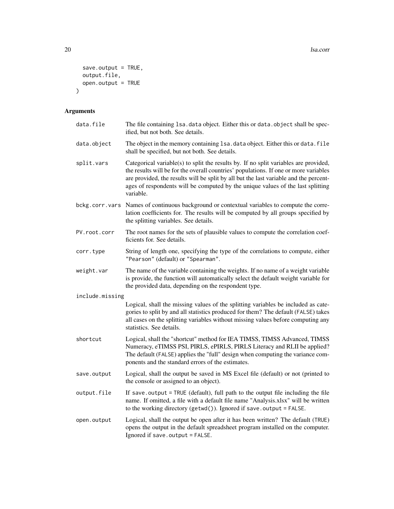```
save.output = TRUE,
  output.file,
 open.output = TRUE\mathcal{L}
```
# Arguments

| data.file       | The file containing 1sa. data object. Either this or data. object shall be spec-<br>ified, but not both. See details.                                                                                                                                                                                                                                                 |
|-----------------|-----------------------------------------------------------------------------------------------------------------------------------------------------------------------------------------------------------------------------------------------------------------------------------------------------------------------------------------------------------------------|
| data.object     | The object in the memory containing 1sa. data object. Either this or data. file<br>shall be specified, but not both. See details.                                                                                                                                                                                                                                     |
| split.vars      | Categorical variable(s) to split the results by. If no split variables are provided,<br>the results will be for the overall countries' populations. If one or more variables<br>are provided, the results will be split by all but the last variable and the percent-<br>ages of respondents will be computed by the unique values of the last splitting<br>variable. |
| bckg.corr.vars  | Names of continuous background or contextual variables to compute the corre-<br>lation coefficients for. The results will be computed by all groups specified by<br>the splitting variables. See details.                                                                                                                                                             |
| PV.root.corr    | The root names for the sets of plausible values to compute the correlation coef-<br>ficients for. See details.                                                                                                                                                                                                                                                        |
| corr.type       | String of length one, specifying the type of the correlations to compute, either<br>"Pearson" (default) or "Spearman".                                                                                                                                                                                                                                                |
| weight.var      | The name of the variable containing the weights. If no name of a weight variable<br>is provide, the function will automatically select the default weight variable for<br>the provided data, depending on the respondent type.                                                                                                                                        |
| include.missing |                                                                                                                                                                                                                                                                                                                                                                       |
|                 | Logical, shall the missing values of the splitting variables be included as cate-<br>gories to split by and all statistics produced for them? The default (FALSE) takes<br>all cases on the splitting variables without missing values before computing any<br>statistics. See details.                                                                               |
| shortcut        | Logical, shall the "shortcut" method for IEA TIMSS, TIMSS Advanced, TIMSS<br>Numeracy, eTIMSS PSI, PIRLS, ePIRLS, PIRLS Literacy and RLII be applied?<br>The default (FALSE) applies the "full" design when computing the variance com-<br>ponents and the standard errors of the estimates.                                                                          |
| save.output     | Logical, shall the output be saved in MS Excel file (default) or not (printed to<br>the console or assigned to an object).                                                                                                                                                                                                                                            |
| output.file     | If save output = TRUE (default), full path to the output file including the file<br>name. If omitted, a file with a default file name "Analysis.xlsx" will be written<br>to the working directory (getwd()). Ignored if save.output = FALSE.                                                                                                                          |
| open.output     | Logical, shall the output be open after it has been written? The default (TRUE)<br>opens the output in the default spreadsheet program installed on the computer.<br>Ignored if save.output = FALSE.                                                                                                                                                                  |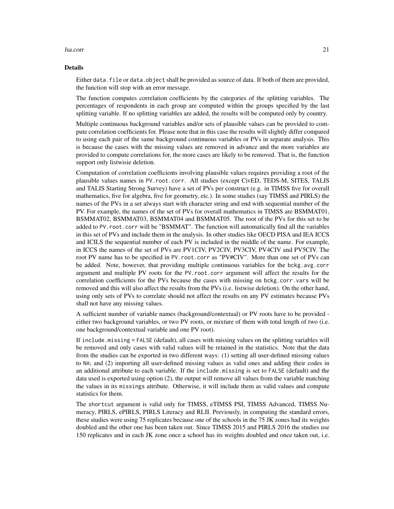#### lsa.corr 21

#### Details

Either data. file or data. object shall be provided as source of data. If both of them are provided, the function will stop with an error message.

The function computes correlation coefficients by the categories of the splitting variables. The percentages of respondents in each group are computed within the groups specified by the last splitting variable. If no splitting variables are added, the results will be computed only by country.

Multiple continuous background variables and/or sets of plausible values can be provided to compute correlation coefficients for. Please note that in this case the results will slightly differ compared to using each pair of the same background continuous variables or PVs in separate analysis. This is because the cases with the missing values are removed in advance and the more variables are provided to compute correlations for, the more cases are likely to be removed. That is, the function support only listwisie deletion.

Computation of correlation coefficients involving plausible values requires providing a root of the plausible values names in PV.root.corr. All studies (except CivED, TEDS-M, SITES, TALIS and TALIS Starting Strong Survey) have a set of PVs per construct (e.g. in TIMSS five for overall mathematics, five for algebra, five for geometry, etc.). In some studies (say TIMSS and PIRLS) the names of the PVs in a set always start with character string and end with sequential number of the PV. For example, the names of the set of PVs for overall mathematics in TIMSS are BSMMAT01, BSMMAT02, BSMMAT03, BSMMAT04 and BSMMAT05. The root of the PVs for this set to be added to PV.root.corr will be "BSMMAT". The function will automatically find all the variables in this set of PVs and include them in the analysis. In other studies like OECD PISA and IEA ICCS and ICILS the sequential number of each PV is included in the middle of the name. For example, in ICCS the names of the set of PVs are PV1CIV, PV2CIV, PV3CIV, PV4CIV and PV5CIV. The root PV name has to be specified in PV.root.corr as "PV#CIV". More than one set of PVs can be added. Note, however, that providing multiple continuous variables for the bckg.avg.corr argument and multiple PV roots for the PV.root.corr argument will affect the results for the correlation coefficients for the PVs because the cases with missing on bckg.corr.vars will be removed and this will also affect the results from the PVs (i.e. listwise deletion). On the other hand, using only sets of PVs to correlate should not affect the results on any PV estimates because PVs shall not have any missing values.

A sufficient number of variable names (background/contextual) or PV roots have to be provided either two background variables, or two PV roots, or mixture of them with total length of two (i.e. one background/contextual variable and one PV root).

If include.missing = FALSE (default), all cases with missing values on the splitting variables will be removed and only cases with valid values will be retained in the statistics. Note that the data from the studies can be exported in two different ways: (1) setting all user-defined missing values to NA; and (2) importing all user-defined missing values as valid ones and adding their codes in an additional attribute to each variable. If the include.missing is set to FALSE (default) and the data used is exported using option (2), the output will remove all values from the variable matching the values in its missings attribute. Otherwise, it will include them as valid values and compute statistics for them.

The shortcut argument is valid only for TIMSS, eTIMSS PSI, TIMSS Advanced, TIMSS Numeracy, PIRLS, ePIRLS, PIRLS Literacy and RLII. Previously, in computing the standard errors, these studies were using 75 replicates because one of the schools in the 75 JK zones had its weights doubled and the other one has been taken out. Since TIMSS 2015 and PIRLS 2016 the studies use 150 replicates and in each JK zone once a school has its weights doubled and once taken out, i.e.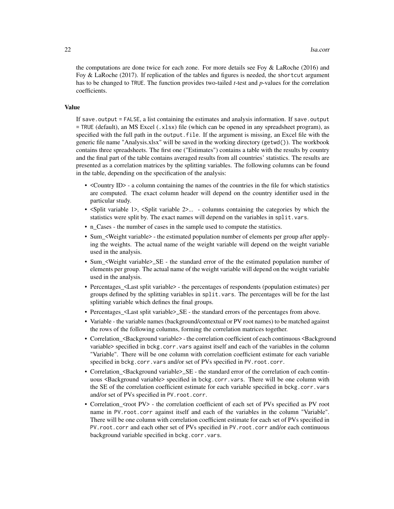the computations are done twice for each zone. For more details see Foy  $\&$  LaRoche (2016) and Foy & LaRoche (2017). If replication of the tables and figures is needed, the shortcut argument has to be changed to TRUE. The function provides two-tailed *t*-test and *p*-values for the correlation coefficients.

# Value

If save.output = FALSE, a list containing the estimates and analysis information. If save.output = TRUE (default), an MS Excel (.xlsx) file (which can be opened in any spreadsheet program), as specified with the full path in the output.file. If the argument is missing, an Excel file with the generic file name "Analysis.xlsx" will be saved in the working directory (getwd()). The workbook contains three spreadsheets. The first one ("Estimates") contains a table with the results by country and the final part of the table contains averaged results from all countries' statistics. The results are presented as a correlation matrices by the splitting variables. The following columns can be found in the table, depending on the specification of the analysis:

- <Country ID> a column containing the names of the countries in the file for which statistics are computed. The exact column header will depend on the country identifier used in the particular study.
- <Split variable 1>, <Split variable 2>... columns containing the categories by which the statistics were split by. The exact names will depend on the variables in split.vars.
- n Cases the number of cases in the sample used to compute the statistics.
- Sum\_<Weight variable> the estimated population number of elements per group after applying the weights. The actual name of the weight variable will depend on the weight variable used in the analysis.
- Sum\_<Weight variable>\_SE the standard error of the the estimated population number of elements per group. The actual name of the weight variable will depend on the weight variable used in the analysis.
- Percentages\_<Last split variable> the percentages of respondents (population estimates) per groups defined by the splitting variables in split.vars. The percentages will be for the last splitting variable which defines the final groups.
- Percentages <Last split variable>\_SE the standard errors of the percentages from above.
- Variable the variable names (background/contextual or PV root names) to be matched against the rows of the following columns, forming the correlation matrices together.
- Correlation\_<Background variable> the correlation coefficient of each continuous <Background variable> specified in bckg.corr.vars against itself and each of the variables in the column "Variable". There will be one column with correlation coefficient estimate for each variable specified in bckg.corr.vars and/or set of PVs specified in PV.root.corr.
- Correlation <Background variable>\_SE the standard error of the correlation of each continuous <Background variable> specified in bckg.corr.vars. There will be one column with the SE of the correlation coefficient estimate for each variable specified in bckg.corr.vars and/or set of PVs specified in PV.root.corr.
- Correlation <root PV> the correlation coefficient of each set of PVs specified as PV root name in PV.root.corr against itself and each of the variables in the column "Variable". There will be one column with correlation coefficient estimate for each set of PVs specified in PV.root.corr and each other set of PVs specified in PV.root.corr and/or each continuous background variable specified in bckg.corr.vars.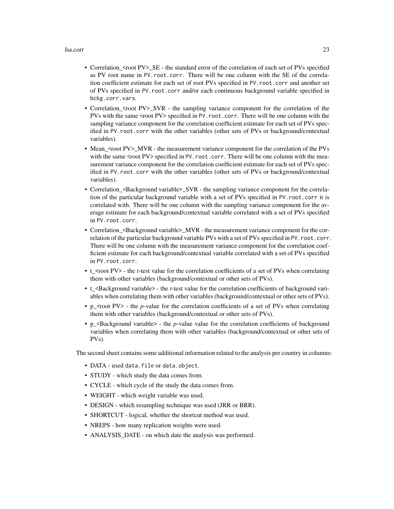#### lsa.corr 23

- Correlation\_<root PV>\_SE the standard error of the correlation of each set of PVs specified as PV root name in PV.root.corr. There will be one column with the SE of the correlation coefficient estimate for each set of root PVs specified in PV.root.corr and another set of PVs specified in PV.root.corr and/or each continuous background variable specified in bckg.corr.vars.
- Correlation <root PV>\_SVR the sampling variance component for the correlation of the PVs with the same <root PV> specified in PV. root.corr. There will be one column with the sampling variance component for the correlation coefficient estimate for each set of PVs specified in PV.root.corr with the other variables (other sets of PVs or background/contextual variables).
- Mean\_<root PV>\_MVR the measurement variance component for the correlation of the PVs with the same <root PV> specified in PV. root.corr. There will be one column with the measurement variance component for the correlation coefficient estimate for each set of PVs specified in PV.root.corr with the other variables (other sets of PVs or background/contextual variables).
- Correlation\_<Background variable>\_SVR the sampling variance component for the correlation of the particular background variable with a set of PVs specified in PV.root.corr it is correlated with. There will be one column with the sampling variance component for the average estimate for each background/contextual variable correlated with a set of PVs specified in PV.root.corr.
- Correlation\_<Background variable>\_MVR the measurement variance component for the correlation of the particular background variable PVs with a set of PVs specified in PV.root.corr. There will be one column with the measurement variance component for the correlation coefficient estimate for each background/contextual variable correlated with a set of PVs specified in PV.root.corr.
- t\_<rtimedocal PV> the *t*-test value for the correlation coefficients of a set of PVs when correlating them with other variables (background/contextual or other sets of PVs).
- t <Background variable> the *t*-test value for the correlation coefficients of background variables when correlating them with other variables (background/contextual or other sets of PVs).
- p\_<root PV> the *p*-value for the correlation coefficients of a set of PVs when correlating them with other variables (background/contextual or other sets of PVs).
- p <Background variable> the *p*-value value for the correlation coefficients of background variables when correlating them with other variables (background/contextual or other sets of PVs).

The second sheet contains some additional information related to the analysis per country in columns:

- DATA used data.file or data.object.
- STUDY which study the data comes from.
- CYCLE which cycle of the study the data comes from.
- WEIGHT which weight variable was used.
- DESIGN which resampling technique was used (JRR or BRR).
- SHORTCUT logical, whether the shortcut method was used.
- NREPS how many replication weights were used.
- ANALYSIS\_DATE on which date the analysis was performed.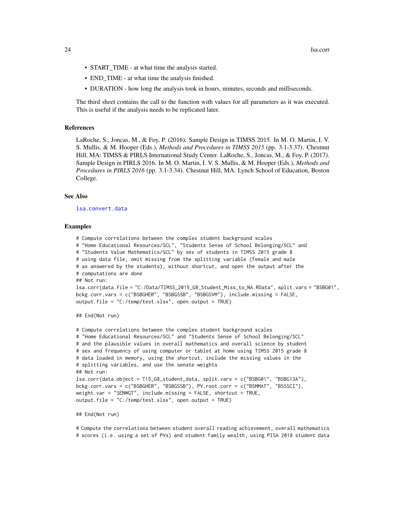- <span id="page-23-0"></span>• START\_TIME - at what time the analysis started.
- END\_TIME at what time the analysis finished.
- DURATION how long the analysis took in hours, minutes, seconds and milliseconds.

The third sheet contains the call to the function with values for all parameters as it was executed. This is useful if the analysis needs to be replicated later.

# References

LaRoche, S., Joncas, M., & Foy, P. (2016). Sample Design in TIMSS 2015. In M. O. Martin, I. V. S. Mullis, & M. Hooper (Eds.), *Methods and Procedures in TIMSS 2015* (pp. 3.1-3.37). Chestnut Hill, MA: TIMSS & PIRLS International Study Center. LaRoche, S., Joncas, M., & Foy, P. (2017). Sample Design in PIRLS 2016. In M. O. Martin, I. V. S. Mullis, & M. Hooper (Eds.), *Methods and Procedures in PIRLS 2016* (pp. 3.1-3.34). Chestnut Hill, MA: Lynch School of Education, Boston College.

#### See Also

[lsa.convert.data](#page-14-1)

#### Examples

```
# Compute correlations between the complex student background scales
# "Home Educational Resources/SCL", "Students Sense of School Belonging/SCL" and
# "Students Value Mathematics/SCL" by sex of students in TIMSS 2015 grade 8
# using data file, omit missing from the splitting variable (female and male
# as answered by the students), without shortcut, and open the output after the
# computations are done
## Not run:
lsa.corr(data.file = "C:/Data/TIMSS_2015_G8_Student_Miss_to_NA.RData", split.vars = "BSBG01",
bckg.corr.vars = c("BSBGHER", "BSBGSSB", "BSBGSVM"), include.missing = FALSE,
output.file = "C:/temp/test.xlsx", open.output = TRUE)
## End(Not run)
```

```
# Compute correlations between the complex student background scales
# "Home Educational Resources/SCL" and "Students Sense of School Belonging/SCL"
# and the plausible values in overall mathematics and overall science by student
# sex and frequency of using computer or tablet at home using TIMSS 2015 grade 8
# data loaded in memory, using the shortcut, include the missing values in the
# splitting variables, and use the senate weights
## Not run:
lsa.corr(data.object = T15_G8_student_data, split.vars = c("BSBG01", "BSBG13A"),
bckg.corr.vars = c("BSBGHER", "BSBGSSB"), PV.root.corr = c("BSMMAT", "BSSSCI"),
weight.var = "SENWGT", include.missing = FALSE, shortcut = TRUE,
output.file = "C:/temp/test.xlsx", open.output = TRUE)
```
#### ## End(Not run)

# Compute the correlations between student overall reading achievement, overall mathematics # scores (i.e. using a set of PVs) and student family wealth, using PISA 2018 student data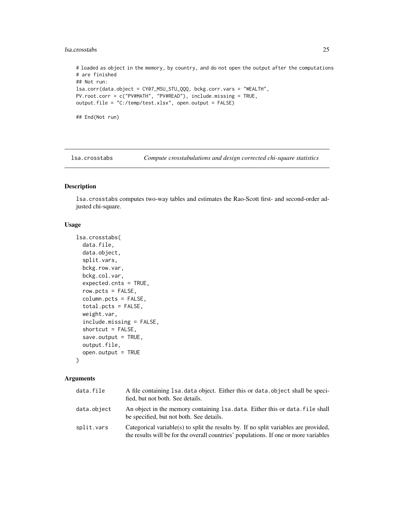## <span id="page-24-0"></span>lsa.crosstabs 25

# loaded as object in the memory, by country, and do not open the output after the computations # are finished ## Not run: lsa.corr(data.object = CY07\_MSU\_STU\_QQQ, bckg.corr.vars = "WEALTH", PV.root.corr = c("PV#MATH", "PV#READ"), include.missing = TRUE, output.file = "C:/temp/test.xlsx", open.output = FALSE) ## End(Not run)

lsa.crosstabs *Compute crosstabulations and design corrected chi-square statistics*

## Description

lsa.crosstabs computes two-way tables and estimates the Rao-Scott first- and second-order adjusted chi-square.

# Usage

```
lsa.crosstabs(
  data.file,
  data.object,
  split.vars,
  bckg.row.var,
 bckg.col.var,
  expected.cnts = TRUE,
  row.pcts = FALSE,column.pcts = FALSE,
  total.pcts = FALSE,
  weight.var,
  include.missing = FALSE,
  shortcut = FALSE,
  save.output = TRUE,
 output.file,
  open.output = TRUE
\lambda
```
# Arguments

| data.file   | A file containing 1sa, data object. Either this or data, object shall be speci-<br>fied, but not both. See details.                                                          |
|-------------|------------------------------------------------------------------------------------------------------------------------------------------------------------------------------|
| data.object | An object in the memory containing 1sa, data. Either this or data, file shall<br>be specified, but not both. See details.                                                    |
| split.vars  | Categorical variable(s) to split the results by. If no split variables are provided,<br>the results will be for the overall countries' populations. If one or more variables |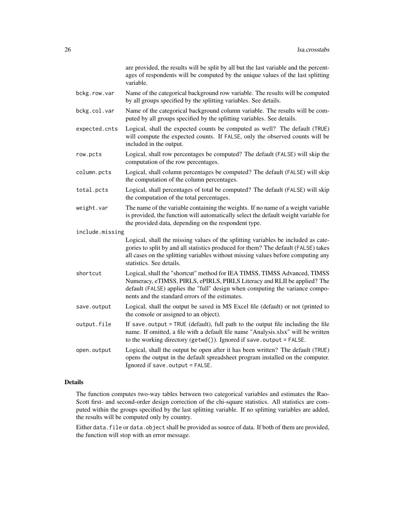are provided, the results will be split by all but the last variable and the percentages of respondents will be computed by the unique values of the last splitting variable.

- bckg.row.var Name of the categorical background row variable. The results will be computed by all groups specified by the splitting variables. See details.
- bckg.col.var Name of the categorical background column variable. The results will be computed by all groups specified by the splitting variables. See details.
- expected.cnts Logical, shall the expected counts be computed as well? The default (TRUE) will compute the expected counts. If FALSE, only the observed counts will be included in the output.
- row.pcts Logical, shall row percentages be computed? The default (FALSE) will skip the computation of the row percentages.
- column.pcts Logical, shall column percentages be computed? The default (FALSE) will skip the computation of the column percentages.
- total.pcts Logical, shall percentages of total be computed? The default (FALSE) will skip the computation of the total percentages.
- weight.var The name of the variable containing the weights. If no name of a weight variable is provided, the function will automatically select the default weight variable for the provided data, depending on the respondent type.
- include.missing Logical, shall the missing values of the splitting variables be included as categories to split by and all statistics produced for them? The default (FALSE) takes all cases on the splitting variables without missing values before computing any statistics. See details.
- shortcut Logical, shall the "shortcut" method for IEA TIMSS, TIMSS Advanced, TIMSS Numeracy, eTIMSS, PIRLS, ePIRLS, PIRLS Literacy and RLII be applied? The default (FALSE) applies the "full" design when computing the variance components and the standard errors of the estimates.
- save.output Logical, shall the output be saved in MS Excel file (default) or not (printed to the console or assigned to an object).
- output.file If save.output = TRUE (default), full path to the output file including the file name. If omitted, a file with a default file name "Analysis.xlsx" will be written to the working directory (getwd()). Ignored if save.output = FALSE.
- open.output Logical, shall the output be open after it has been written? The default (TRUE) opens the output in the default spreadsheet program installed on the computer. Ignored if save.output = FALSE.

# Details

The function computes two-way tables between two categorical variables and estimates the Rao-Scott first- and second-order design correction of the chi-square statistics. All statistics are computed within the groups specified by the last splitting variable. If no splitting variables are added, the results will be computed only by country.

Either data. file or data. object shall be provided as source of data. If both of them are provided, the function will stop with an error message.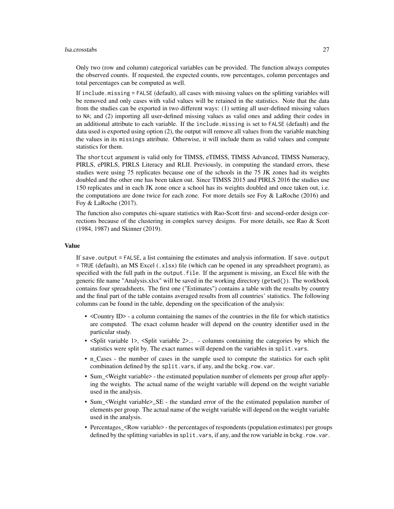#### lsa.crosstabs 27

Only two (row and column) categorical variables can be provided. The function always computes the observed counts. If requested, the expected counts, row percentages, column percentages and total percentages can be computed as well.

If include.missing = FALSE (default), all cases with missing values on the splitting variables will be removed and only cases with valid values will be retained in the statistics. Note that the data from the studies can be exported in two different ways: (1) setting all user-defined missing values to NA; and (2) importing all user-defined missing values as valid ones and adding their codes in an additional attribute to each variable. If the include.missing is set to FALSE (default) and the data used is exported using option (2), the output will remove all values from the variable matching the values in its missings attribute. Otherwise, it will include them as valid values and compute statistics for them.

The shortcut argument is valid only for TIMSS, eTIMSS, TIMSS Advanced, TIMSS Numeracy, PIRLS, ePIRLS, PIRLS Literacy and RLII. Previously, in computing the standard errors, these studies were using 75 replicates because one of the schools in the 75 JK zones had its weights doubled and the other one has been taken out. Since TIMSS 2015 and PIRLS 2016 the studies use 150 replicates and in each JK zone once a school has its weights doubled and once taken out, i.e. the computations are done twice for each zone. For more details see Foy  $\&$  LaRoche (2016) and Foy & LaRoche (2017).

The function also computes chi-square statistics with Rao-Scott first- and second-order design corrections because of the clustering in complex survey designs. For more details, see Rao & Scott (1984, 1987) and Skinner (2019).

#### Value

If save.output = FALSE, a list containing the estimates and analysis information. If save.output = TRUE (default), an MS Excel (.xlsx) file (which can be opened in any spreadsheet program), as specified with the full path in the output.file. If the argument is missing, an Excel file with the generic file name "Analysis.xlsx" will be saved in the working directory (getwd()). The workbook contains four spreadsheets. The first one ("Estimates") contains a table with the results by country and the final part of the table contains averaged results from all countries' statistics. The following columns can be found in the table, depending on the specification of the analysis:

- <Country ID> a column containing the names of the countries in the file for which statistics are computed. The exact column header will depend on the country identifier used in the particular study.
- <Split variable 1>, <Split variable 2>... columns containing the categories by which the statistics were split by. The exact names will depend on the variables in split.vars.
- n\_Cases the number of cases in the sample used to compute the statistics for each split combination defined by the split.vars, if any, and the bckg.row.var.
- Sum <Weight variable> the estimated population number of elements per group after applying the weights. The actual name of the weight variable will depend on the weight variable used in the analysis.
- Sum <Weight variable>\_SE the standard error of the the estimated population number of elements per group. The actual name of the weight variable will depend on the weight variable used in the analysis.
- Percentages <Row variable> the percentages of respondents (population estimates) per groups defined by the splitting variables in split.vars, if any, and the row variable in bckg.row.var.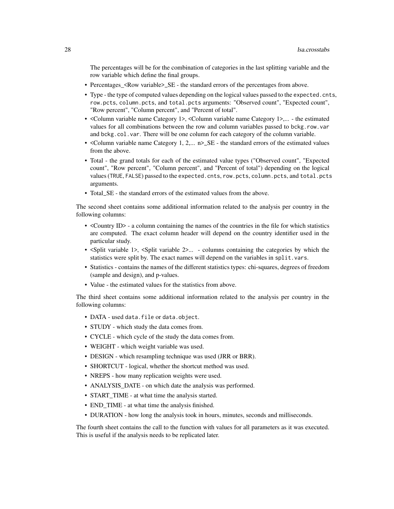The percentages will be for the combination of categories in the last splitting variable and the row variable which define the final groups.

- Percentages\_<Row variable>\_SE the standard errors of the percentages from above.
- Type the type of computed values depending on the logical values passed to the expected.cnts, row.pcts, column.pcts, and total.pcts arguments: "Observed count", "Expected count", "Row percent", "Column percent", and "Percent of total".
- <Column variable name Category 1>, <Column variable name Category 1>,... the estimated values for all combinations between the row and column variables passed to bckg.row.var and bckg.col.var. There will be one column for each category of the column variable.
- <Column variable name Category 1, 2,... n> SE the standard errors of the estimated values from the above.
- Total the grand totals for each of the estimated value types ("Observed count", "Expected count", "Row percent", "Column percent", and "Percent of total") depending on the logical values (TRUE, FALSE) passed to the expected.cnts, row.pcts, column.pcts, and total.pcts arguments.
- Total\_SE the standard errors of the estimated values from the above.

The second sheet contains some additional information related to the analysis per country in the following columns:

- <Country ID> a column containing the names of the countries in the file for which statistics are computed. The exact column header will depend on the country identifier used in the particular study.
- <Split variable 1>, <Split variable 2>... columns containing the categories by which the statistics were split by. The exact names will depend on the variables in split.vars.
- Statistics contains the names of the different statistics types: chi-squares, degrees of freedom (sample and design), and p-values.
- Value the estimated values for the statistics from above.

The third sheet contains some additional information related to the analysis per country in the following columns:

- DATA used data.file or data.object.
- STUDY which study the data comes from.
- CYCLE which cycle of the study the data comes from.
- WEIGHT which weight variable was used.
- DESIGN which resampling technique was used (JRR or BRR).
- SHORTCUT logical, whether the shortcut method was used.
- NREPS how many replication weights were used.
- ANALYSIS\_DATE on which date the analysis was performed.
- START\_TIME at what time the analysis started.
- END\_TIME at what time the analysis finished.
- DURATION how long the analysis took in hours, minutes, seconds and milliseconds.

The fourth sheet contains the call to the function with values for all parameters as it was executed. This is useful if the analysis needs to be replicated later.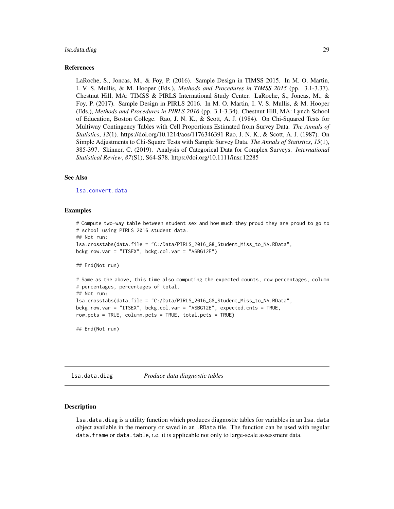#### <span id="page-28-0"></span>lsa.data.diag 29

#### References

LaRoche, S., Joncas, M., & Foy, P. (2016). Sample Design in TIMSS 2015. In M. O. Martin, I. V. S. Mullis, & M. Hooper (Eds.), *Methods and Procedures in TIMSS 2015* (pp. 3.1-3.37). Chestnut Hill, MA: TIMSS & PIRLS International Study Center. LaRoche, S., Joncas, M., & Foy, P. (2017). Sample Design in PIRLS 2016. In M. O. Martin, I. V. S. Mullis, & M. Hooper (Eds.), *Methods and Procedures in PIRLS 2016* (pp. 3.1-3.34). Chestnut Hill, MA: Lynch School of Education, Boston College. Rao, J. N. K., & Scott, A. J. (1984). On Chi-Squared Tests for Multiway Contingency Tables with Cell Proportions Estimated from Survey Data. *The Annals of Statistics*, *12*(1). https://doi.org/10.1214/aos/1176346391 Rao, J. N. K., & Scott, A. J. (1987). On Simple Adjustments to Chi-Square Tests with Sample Survey Data. *The Annals of Statistics*, *15*(1), 385-397. Skinner, C. (2019). Analysis of Categorical Data for Complex Surveys. *International Statistical Review*, *87*(S1), S64-S78. https://doi.org/10.1111/insr.12285

#### See Also

[lsa.convert.data](#page-14-1)

#### Examples

```
# Compute two-way table between student sex and how much they proud they are proud to go to
# school using PIRLS 2016 student data.
## Not run:
lsa.crosstabs(data.file = "C:/Data/PIRLS_2016_G8_Student_Miss_to_NA.RData",
bckg.row.var = "ITSEX", bckg.col.var = "ASBG12E")
## End(Not run)
# Same as the above, this time also computing the expected counts, row percentages, column
# percentages, percentages of total.
## Not run:
lsa.crosstabs(data.file = "C:/Data/PIRLS_2016_G8_Student_Miss_to_NA.RData",
bckg.row.var = "ITSEX", bckg.col.var = "ASBG12E", expected.cnts = TRUE,
row.pcts = TRUE, column.pcts = TRUE, total.pcts = TRUE)
```
## End(Not run)

lsa.data.diag *Produce data diagnostic tables*

#### Description

lsa.data.diag is a utility function which produces diagnostic tables for variables in an lsa.data object available in the memory or saved in an .RData file. The function can be used with regular data. frame or data.table, i.e. it is applicable not only to large-scale assessment data.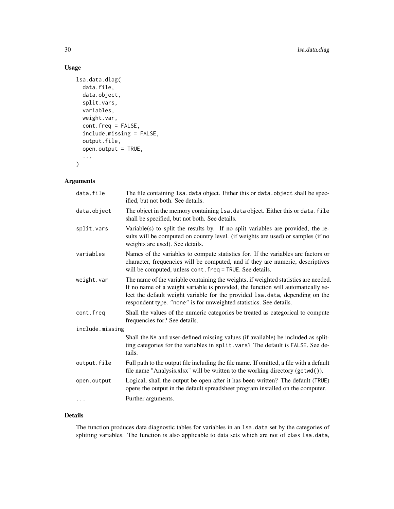# Usage

```
lsa.data.diag(
 data.file,
  data.object,
  split.vars,
  variables,
 weight.var,
  cont.freq = FALSE,
  include.missing = FALSE,
  output.file,
  open.output = TRUE,
  ...
\mathcal{L}
```
# Arguments

| data.file       | The file containing 1sa. data object. Either this or data. object shall be spec-<br>ified, but not both. See details.                                                                                                                                                                                                         |
|-----------------|-------------------------------------------------------------------------------------------------------------------------------------------------------------------------------------------------------------------------------------------------------------------------------------------------------------------------------|
| data.object     | The object in the memory containing 1sa. data object. Either this or data. file<br>shall be specified, but not both. See details.                                                                                                                                                                                             |
| split.vars      | Variable(s) to split the results by. If no split variables are provided, the re-<br>sults will be computed on country level. (if weights are used) or samples (if no<br>weights are used). See details.                                                                                                                       |
| variables       | Names of the variables to compute statistics for. If the variables are factors or<br>character, frequencies will be computed, and if they are numeric, descriptives<br>will be computed, unless cont. freq = TRUE. See details.                                                                                               |
| weight.var      | The name of the variable containing the weights, if weighted statistics are needed.<br>If no name of a weight variable is provided, the function will automatically se-<br>lect the default weight variable for the provided 1sa.data, depending on the<br>respondent type. "none" is for unweighted statistics. See details. |
| cont.freq       | Shall the values of the numeric categories be treated as categorical to compute<br>frequencies for? See details.                                                                                                                                                                                                              |
| include.missing |                                                                                                                                                                                                                                                                                                                               |
|                 | Shall the NA and user-defined missing values (if available) be included as split-<br>ting categories for the variables in split. vars? The default is FALSE. See de-<br>tails.                                                                                                                                                |
| output.file     | Full path to the output file including the file name. If omitted, a file with a default<br>file name "Analysis.xlsx" will be written to the working directory (getwd()).                                                                                                                                                      |
| open.output     | Logical, shall the output be open after it has been written? The default (TRUE)<br>opens the output in the default spreadsheet program installed on the computer.                                                                                                                                                             |
| .               | Further arguments.                                                                                                                                                                                                                                                                                                            |

# Details

The function produces data diagnostic tables for variables in an lsa.data set by the categories of splitting variables. The function is also applicable to data sets which are not of class lsa.data,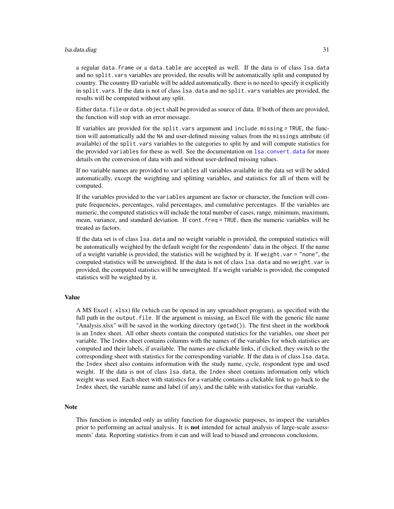#### <span id="page-30-0"></span>lsa.data.diag 31

a regular data.frame or a data.table are accepted as well. If the data is of class lsa.data and no split.vars variables are provided, the results will be automatically split and computed by country. The country ID variable will be added automatically, there is no need to specify it explicitly in split. vars. If the data is not of class  $lsa$ , data and no split. vars variables are provided, the results will be computed without any split.

Either data. file or data. object shall be provided as source of data. If both of them are provided, the function will stop with an error message.

If variables are provided for the split.vars argument and include.missing = TRUE, the function will automatically add the NA and user-defined missing values from the missings attribute (if available) of the split.vars variables to the categories to split by and will compute statistics for the provided variables for these as well. See the documentation on [lsa.convert.data](#page-14-1) for more details on the conversion of data with and without user-defined missing values.

If no variable names are provided to variables all variables available in the data set will be added automatically, except the weighting and splitting variables, and statistics for all of them will be computed.

If the variables provided to the variables argument are factor or character, the function will compute frequencies, percentages, valid percentages, and cumulative percentages. If the variables are numeric, the computed statistics will include the total number of cases, range, minimum, maximum, mean, variance, and standard deviation. If cont.freq = TRUE, then the numeric variables will be treated as factors.

If the data set is of class 1sa.data and no weight variable is provided, the computed statistics will be automatically weighted by the default weight for the respondents' data in the object. If the name of a weight variable is provided, the statistics will be weighted by it. If weight. var  $=$  "none", the computed statistics will be unweighted. If the data is not of class lsa.data and no weight.var is provided, the computed statistics will be unweighted. If a weight variable is provided, the computed statistics will be weighted by it.

# Value

A MS Excel (.xlsx) file (which can be opened in any spreadsheet program), as specified with the full path in the output. file. If the argument is missing, an Excel file with the generic file name "Analysis.xlsx" will be saved in the working directory (getwd()). The first sheet in the workbook is an Index sheet. All other sheets contain the computed statistics for the variables, one sheet per variable. The Index sheet contains columns with the names of the variables for which statistics are computed and their labels, if available. The names are clickable links, if clicked, they switch to the corresponding sheet with statistics for the corresponding variable. If the data is of class 1sa.data, the Index sheet also contains information with the study name, cycle, respondent type and used weight. If the data is not of class lsa.data, the Index sheet contains information only which weight was used. Each sheet with statistics for a variable contains a clickable link to go back to the Index sheet, the variable name and label (if any), and the table with statistics for that variable.

#### **Note**

This function is intended only as utility function for diagnostic purposes, to inspect the variables prior to performing an actual analysis. It is **not** intended for actual analysis of large-scale assessments' data. Reporting statistics from it can and will lead to biased and erroneous conclusions.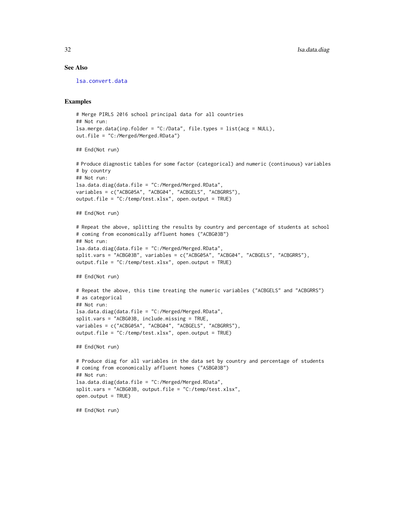#### <span id="page-31-0"></span>See Also

[lsa.convert.data](#page-14-1)

#### Examples

```
# Merge PIRLS 2016 school principal data for all countries
## Not run:
lsa.merge.data(inp.folder = "C:/Data", file.types = list(acg = NULL),
out.file = "C:/Merged/Merged.RData")
```

```
## End(Not run)
```

```
# Produce diagnostic tables for some factor (categorical) and numeric (continuous) variables
# by country
## Not run:
lsa.data.diag(data.file = "C:/Merged/Merged.RData",
variables = c("ACBG05A", "ACBG04", "ACBGELS", "ACBGRRS"),
output.file = "C:/temp/test.xlsx", open.output = TRUE)
## End(Not run)
```

```
# Repeat the above, splitting the results by country and percentage of students at school
# coming from economically affluent homes ("ACBG03B")
## Not run:
lsa.data.diag(data.file = "C:/Merged/Merged.RData",
```

```
split.vars = "ACBG03B", variables = c("ACBG05A", "ACBG04", "ACBGELS", "ACBGRRS"),
output.file = "C:/temp/test.xlsx", open.output = TRUE)
```

```
## End(Not run)
```

```
# Repeat the above, this time treating the numeric variables ("ACBGELS" and "ACBGRRS")
# as categorical
## Not run:
lsa.data.diag(data.file = "C:/Merged/Merged.RData",
split.vars = "ACBG03B, include.missing = TRUE,
variables = c("ACBG05A", "ACBG04", "ACBGELS", "ACBGRRS"),
output.file = "C:/temp/test.xlsx", open.output = TRUE)
```
## End(Not run)

```
# Produce diag for all variables in the data set by country and percentage of students
# coming from economically affluent homes ("ASBG03B")
## Not run:
lsa.data.diag(data.file = "C:/Merged/Merged.RData",
split.vars = "ACBG03B, output.file = "C:/temp/test.xlsx",
open.output = TRUE)
```
## End(Not run)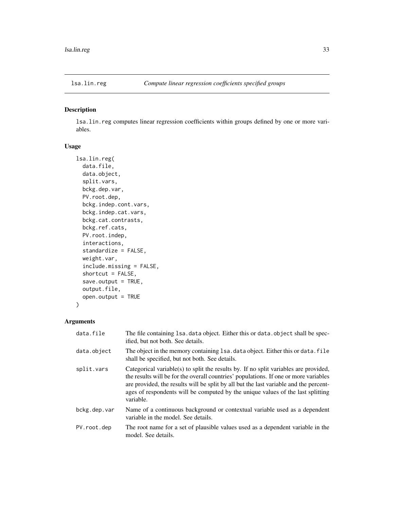<span id="page-32-1"></span><span id="page-32-0"></span>

# Description

lsa.lin.reg computes linear regression coefficients within groups defined by one or more variables.

# Usage

```
lsa.lin.reg(
  data.file,
  data.object,
  split.vars,
  bckg.dep.var,
  PV.root.dep,
 bckg.indep.cont.vars,
  bckg.indep.cat.vars,
 bckg.cat.contrasts,
  bckg.ref.cats,
 PV.root.indep,
  interactions,
  standardize = FALSE,
  weight.var,
  include.missing = FALSE,
  shortcut = FALSE,
  save.output = TRUE,
  output.file,
  open.output = TRUE
\mathcal{L}
```
# Arguments

| data.file    | The file containing 1sa. data object. Either this or data. object shall be spec-<br>ified, but not both. See details.                                                                                                                                                                                                                                                 |
|--------------|-----------------------------------------------------------------------------------------------------------------------------------------------------------------------------------------------------------------------------------------------------------------------------------------------------------------------------------------------------------------------|
| data.object  | The object in the memory containing 1sa. data object. Either this or data. file<br>shall be specified, but not both. See details.                                                                                                                                                                                                                                     |
| split.vars   | Categorical variable(s) to split the results by. If no split variables are provided,<br>the results will be for the overall countries' populations. If one or more variables<br>are provided, the results will be split by all but the last variable and the percent-<br>ages of respondents will be computed by the unique values of the last splitting<br>variable. |
| bckg.dep.var | Name of a continuous background or contextual variable used as a dependent<br>variable in the model. See details.                                                                                                                                                                                                                                                     |
| PV.root.dep  | The root name for a set of plausible values used as a dependent variable in the<br>model. See details.                                                                                                                                                                                                                                                                |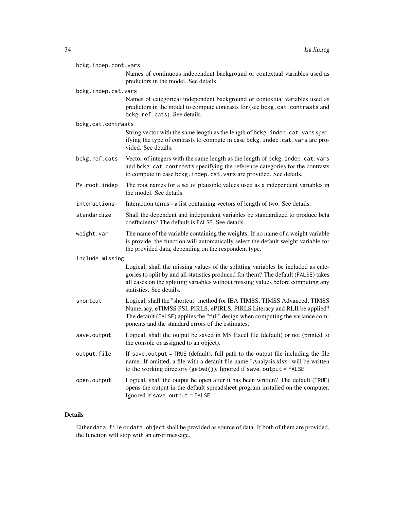| bckg.indep.cont.vars |                                                                                                                                                                                                                                                                                              |  |
|----------------------|----------------------------------------------------------------------------------------------------------------------------------------------------------------------------------------------------------------------------------------------------------------------------------------------|--|
|                      | Names of continuous independent background or contextual variables used as<br>predictors in the model. See details.                                                                                                                                                                          |  |
| bckg.indep.cat.vars  |                                                                                                                                                                                                                                                                                              |  |
|                      | Names of categorical independent background or contextual variables used as<br>predictors in the model to compute contrasts for (see bckg.cat.contrasts and<br>bckg.ref.cats). See details.                                                                                                  |  |
| bckg.cat.contrasts   |                                                                                                                                                                                                                                                                                              |  |
|                      | String vector with the same length as the length of bckg. indep.cat.vars spec-<br>ifying the type of contrasts to compute in case bckg. indep. cat. vars are pro-<br>vided. See details.                                                                                                     |  |
| bckg.ref.cats        | Vector of integers with the same length as the length of bckg. indep.cat.vars<br>and bckg.cat.contrasts specifying the reference categories for the contrasts<br>to compute in case bckg. indep. cat. vars are provided. See details.                                                        |  |
| PV.root.indep        | The root names for a set of plausible values used as a independent variables in<br>the model. See details.                                                                                                                                                                                   |  |
| interactions         | Interaction terms - a list containing vectors of length of two. See details.                                                                                                                                                                                                                 |  |
| standardize          | Shall the dependent and independent variables be standardized to produce beta<br>coefficients? The default is FALSE. See details.                                                                                                                                                            |  |
| weight.var           | The name of the variable containing the weights. If no name of a weight variable<br>is provide, the function will automatically select the default weight variable for<br>the provided data, depending on the respondent type.                                                               |  |
| include.missing      |                                                                                                                                                                                                                                                                                              |  |
|                      | Logical, shall the missing values of the splitting variables be included as cate-<br>gories to split by and all statistics produced for them? The default (FALSE) takes<br>all cases on the splitting variables without missing values before computing any<br>statistics. See details.      |  |
| shortcut             | Logical, shall the "shortcut" method for IEA TIMSS, TIMSS Advanced, TIMSS<br>Numeracy, eTIMSS PSI, PIRLS, ePIRLS, PIRLS Literacy and RLII be applied?<br>The default (FALSE) applies the "full" design when computing the variance com-<br>ponents and the standard errors of the estimates. |  |
| save.output          | Logical, shall the output be saved in MS Excel file (default) or not (printed to<br>the console or assigned to an object).                                                                                                                                                                   |  |
| output.file          | If save output = TRUE (default), full path to the output file including the file<br>name. If omitted, a file with a default file name "Analysis.xlsx" will be written<br>to the working directory (getwd()). Ignored if save.output = FALSE.                                                 |  |
| open.output          | Logical, shall the output be open after it has been written? The default (TRUE)<br>opens the output in the default spreadsheet program installed on the computer.<br>Ignored if save.output = FALSE.                                                                                         |  |

# Details

Either data.file or data.object shall be provided as source of data. If both of them are provided, the function will stop with an error message.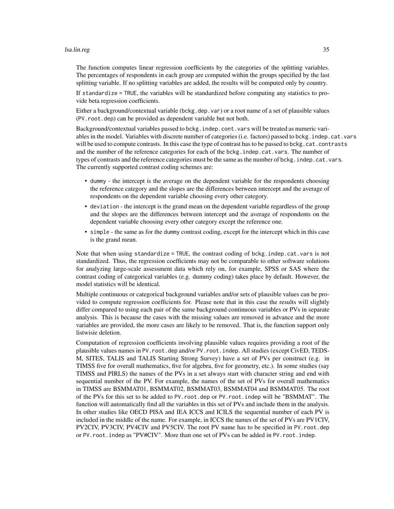#### lsa.lin.reg 35

The function computes linear regression coefficients by the categories of the splitting variables. The percentages of respondents in each group are computed within the groups specified by the last splitting variable. If no splitting variables are added, the results will be computed only by country.

If standardize = TRUE, the variables will be standardized before computing any statistics to provide beta regression coefficients.

Either a background/contextual variable (bckg.dep.var) or a root name of a set of plausible values (PV.root.dep) can be provided as dependent variable but not both.

Background/contextual variables passed to bckg. indep.cont. vars will be treated as numeric variables in the model. Variables with discrete number of categories (i.e. factors) passed to bckg.indep.cat.vars will be used to compute contrasts. In this case the type of contrast has to be passed to bckg.cat.contrasts and the number of the reference categories for each of the bckg.indep.cat.vars. The number of types of contrasts and the reference categories must be the same as the number of bckg. indep.cat.vars. The currently supported contrast coding schemes are:

- dummy the intercept is the average on the dependent variable for the respondents choosing the reference category and the slopes are the differences between intercept and the average of respondents on the dependent variable choosing every other category.
- deviation the intercept is the grand mean on the dependent variable regardless of the group and the slopes are the differences between intercept and the average of respondents on the dependent variable choosing every other category except the reference one.
- simple the same as for the dummy contrast coding, except for the intercept which in this case is the grand mean.

Note that when using standardize = TRUE, the contrast coding of bckg.indep.cat.vars is not standardized. Thus, the regression coefficients may not be comparable to other software solutions for analyzing large-scale assessment data which rely on, for example, SPSS or SAS where the contrast coding of categorical variables (e.g. dummy coding) takes place by default. However, the model statistics will be identical.

Multiple continuous or categorical background variables and/or sets of plausible values can be provided to compute regression coefficients for. Please note that in this case the results will slightly differ compared to using each pair of the same background continuous variables or PVs in separate analysis. This is because the cases with the missing values are removed in advance and the more variables are provided, the more cases are likely to be removed. That is, the function support only listwisie deletion.

Computation of regression coefficients involving plausible values requires providing a root of the plausible values names in PV.root.dep and/or PV.root.indep. All studies (except CivED, TEDS-M, SITES, TALIS and TALIS Starting Strong Survey) have a set of PVs per construct (e.g. in TIMSS five for overall mathematics, five for algebra, five for geometry, etc.). In some studies (say TIMSS and PIRLS) the names of the PVs in a set always start with character string and end with sequential number of the PV. For example, the names of the set of PVs for overall mathematics in TIMSS are BSMMAT01, BSMMAT02, BSMMAT03, BSMMAT04 and BSMMAT05. The root of the PVs for this set to be added to PV.root.dep or PV.root.indep will be "BSMMAT". The function will automatically find all the variables in this set of PVs and include them in the analysis. In other studies like OECD PISA and IEA ICCS and ICILS the sequential number of each PV is included in the middle of the name. For example, in ICCS the names of the set of PVs are PV1CIV, PV2CIV, PV3CIV, PV4CIV and PV5CIV. The root PV name has to be specified in PV.root.dep or PV.root.indep as "PV#CIV". More than one set of PVs can be added in PV.root.indep.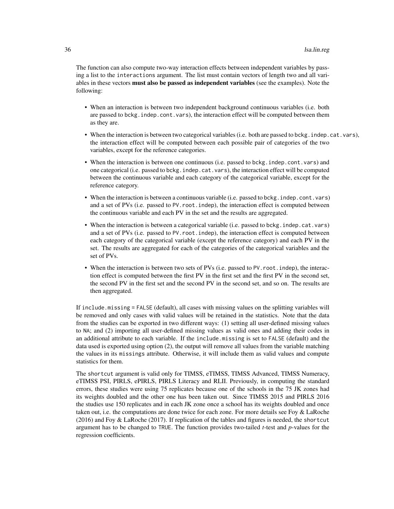The function can also compute two-way interaction effects between independent variables by passing a list to the interactions argument. The list must contain vectors of length two and all variables in these vectors **must also be passed as independent variables** (see the examples). Note the following:

- When an interaction is between two independent background continuous variables (i.e. both are passed to bckg.indep.cont.vars), the interaction effect will be computed between them as they are.
- When the interaction is between two categorical variables (i.e. both are passed to bckg.indep.cat.vars), the interaction effect will be computed between each possible pair of categories of the two variables, except for the reference categories.
- When the interaction is between one continuous (i.e. passed to bckg.indep.cont.vars) and one categorical (i.e. passed to bckg.indep.cat.vars), the interaction effect will be computed between the continuous variable and each category of the categorical variable, except for the reference category.
- When the interaction is between a continuous variable (i.e. passed to bckg. indep.cont.vars) and a set of PVs (i.e. passed to PV.root.indep), the interaction effect is computed between the continuous variable and each PV in the set and the results are aggregated.
- When the interaction is between a categorical variable (i.e. passed to bckg.indep.cat.vars) and a set of PVs (i.e. passed to PV.root.indep), the interaction effect is computed between each category of the categorical variable (except the reference category) and each PV in the set. The results are aggregated for each of the categories of the categorical variables and the set of PVs.
- When the interaction is between two sets of PVs (*i.e.* passed to PV. root. indep), the interaction effect is computed between the first PV in the first set and the first PV in the second set, the second PV in the first set and the second PV in the second set, and so on. The results are then aggregated.

If include.missing = FALSE (default), all cases with missing values on the splitting variables will be removed and only cases with valid values will be retained in the statistics. Note that the data from the studies can be exported in two different ways: (1) setting all user-defined missing values to NA; and (2) importing all user-defined missing values as valid ones and adding their codes in an additional attribute to each variable. If the include.missing is set to FALSE (default) and the data used is exported using option (2), the output will remove all values from the variable matching the values in its missings attribute. Otherwise, it will include them as valid values and compute statistics for them.

The shortcut argument is valid only for TIMSS, eTIMSS, TIMSS Advanced, TIMSS Numeracy, eTIMSS PSI, PIRLS, ePIRLS, PIRLS Literacy and RLII. Previously, in computing the standard errors, these studies were using 75 replicates because one of the schools in the 75 JK zones had its weights doubled and the other one has been taken out. Since TIMSS 2015 and PIRLS 2016 the studies use 150 replicates and in each JK zone once a school has its weights doubled and once taken out, i.e. the computations are done twice for each zone. For more details see Foy & LaRoche (2016) and Foy & LaRoche (2017). If replication of the tables and figures is needed, the shortcut argument has to be changed to TRUE. The function provides two-tailed *t*-test and *p*-values for the regression coefficients.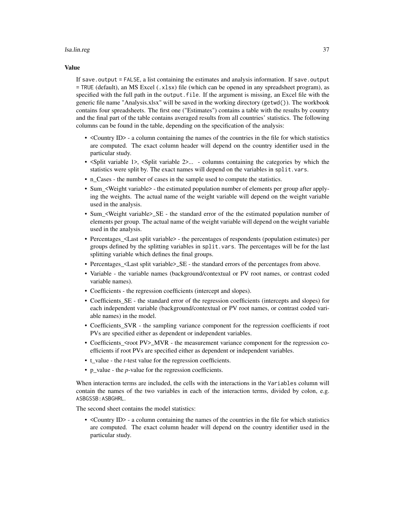#### lsa.lin.reg 37

#### Value

If save.output = FALSE, a list containing the estimates and analysis information. If save.output = TRUE (default), an MS Excel (.xlsx) file (which can be opened in any spreadsheet program), as specified with the full path in the output.file. If the argument is missing, an Excel file with the generic file name "Analysis.xlsx" will be saved in the working directory (getwd()). The workbook contains four spreadsheets. The first one ("Estimates") contains a table with the results by country and the final part of the table contains averaged results from all countries' statistics. The following columns can be found in the table, depending on the specification of the analysis:

- <Country ID> a column containing the names of the countries in the file for which statistics are computed. The exact column header will depend on the country identifier used in the particular study.
- <Split variable 1>, <Split variable 2>... columns containing the categories by which the statistics were split by. The exact names will depend on the variables in split.vars.
- n\_Cases the number of cases in the sample used to compute the statistics.
- Sum\_<Weight variable> the estimated population number of elements per group after applying the weights. The actual name of the weight variable will depend on the weight variable used in the analysis.
- Sum <Weight variable>\_SE the standard error of the the estimated population number of elements per group. The actual name of the weight variable will depend on the weight variable used in the analysis.
- Percentages <Last split variable> the percentages of respondents (population estimates) per groups defined by the splitting variables in split. vars. The percentages will be for the last splitting variable which defines the final groups.
- Percentages\_<Last split variable>\_SE the standard errors of the percentages from above.
- Variable the variable names (background/contextual or PV root names, or contrast coded variable names).
- Coefficients the regression coefficients (intercept and slopes).
- Coefficients\_SE the standard error of the regression coefficients (intercepts and slopes) for each independent variable (background/contextual or PV root names, or contrast coded variable names) in the model.
- Coefficients\_SVR the sampling variance component for the regression coefficients if root PVs are specified either as dependent or independent variables.
- Coefficients\_<root PV>\_MVR the measurement variance component for the regression coefficients if root PVs are specified either as dependent or independent variables.
- t\_value the *t*-test value for the regression coefficients.
- p\_value the *p*-value for the regression coefficients.

When interaction terms are included, the cells with the interactions in the Variables column will contain the names of the two variables in each of the interaction terms, divided by colon, e.g. ASBGSSB:ASBGHRL.

The second sheet contains the model statistics:

• <Country ID> - a column containing the names of the countries in the file for which statistics are computed. The exact column header will depend on the country identifier used in the particular study.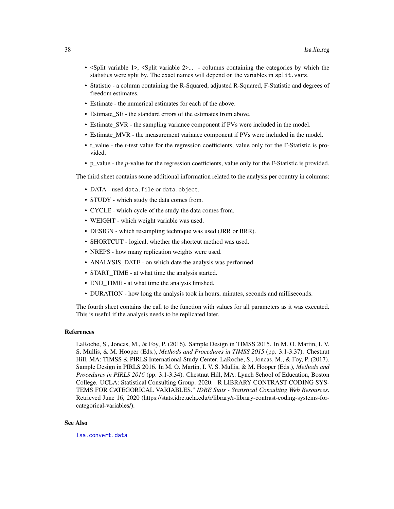- <span id="page-37-0"></span>• <Split variable 1>, <Split variable 2>... - columns containing the categories by which the statistics were split by. The exact names will depend on the variables in split.vars.
- Statistic a column containing the R-Squared, adjusted R-Squared, F-Statistic and degrees of freedom estimates.
- Estimate the numerical estimates for each of the above.
- Estimate SE the standard errors of the estimates from above.
- Estimate\_SVR the sampling variance component if PVs were included in the model.
- Estimate MVR the measurement variance component if PVs were included in the model.
- t\_value the *t*-test value for the regression coefficients, value only for the F-Statistic is provided.
- p\_value the *p*-value for the regression coefficients, value only for the F-Statistic is provided.

The third sheet contains some additional information related to the analysis per country in columns:

- DATA used data.file or data.object.
- STUDY which study the data comes from.
- CYCLE which cycle of the study the data comes from.
- WEIGHT which weight variable was used.
- DESIGN which resampling technique was used (JRR or BRR).
- SHORTCUT logical, whether the shortcut method was used.
- NREPS how many replication weights were used.
- ANALYSIS DATE on which date the analysis was performed.
- START TIME at what time the analysis started.
- END\_TIME at what time the analysis finished.
- DURATION how long the analysis took in hours, minutes, seconds and milliseconds.

The fourth sheet contains the call to the function with values for all parameters as it was executed. This is useful if the analysis needs to be replicated later.

#### References

LaRoche, S., Joncas, M., & Foy, P. (2016). Sample Design in TIMSS 2015. In M. O. Martin, I. V. S. Mullis, & M. Hooper (Eds.), *Methods and Procedures in TIMSS 2015* (pp. 3.1-3.37). Chestnut Hill, MA: TIMSS & PIRLS International Study Center. LaRoche, S., Joncas, M., & Foy, P. (2017). Sample Design in PIRLS 2016. In M. O. Martin, I. V. S. Mullis, & M. Hooper (Eds.), *Methods and Procedures in PIRLS 2016* (pp. 3.1-3.34). Chestnut Hill, MA: Lynch School of Education, Boston College. UCLA: Statistical Consulting Group. 2020. "R LIBRARY CONTRAST CODING SYS-TEMS FOR CATEGORICAL VARIABLES." *IDRE Stats - Statistical Consulting Web Resources*. Retrieved June 16, 2020 (https://stats.idre.ucla.edu/r/library/r-library-contrast-coding-systems-forcategorical-variables/).

#### See Also

[lsa.convert.data](#page-14-1)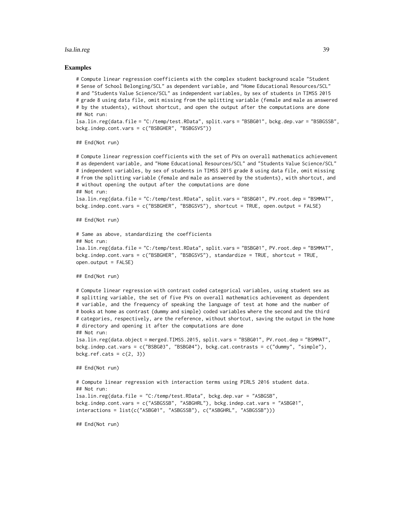#### lsa.lin.reg 39

#### Examples

# Compute linear regression coefficients with the complex student background scale "Student # Sense of School Belonging/SCL" as dependent variable, and "Home Educational Resources/SCL" # and "Students Value Science/SCL" as independent variables, by sex of students in TIMSS 2015 # grade 8 using data file, omit missing from the splitting variable (female and male as answered # by the students), without shortcut, and open the output after the computations are done ## Not run:

lsa.lin.reg(data.file = "C:/temp/test.RData", split.vars = "BSBG01", bckg.dep.var = "BSBGSSB", bckg.indep.cont.vars = c("BSBGHER", "BSBGSVS"))

## End(Not run)

```
# Compute linear regression coefficients with the set of PVs on overall mathematics achievement
# as dependent variable, and "Home Educational Resources/SCL" and "Students Value Science/SCL"
# independent variables, by sex of students in TIMSS 2015 grade 8 using data file, omit missing
# from the splitting variable (female and male as answered by the students), with shortcut, and
# without opening the output after the computations are done
## Not run:
lsa.lin.reg(data.file = "C:/temp/test.RData", split.vars = "BSBG01", PV.root.dep = "BSMMAT",
bckg.indep.cont.vars = c("BSBGHER", "BSBGSVS"), shortcut = TRUE, open.output = FALSE)
## End(Not run)
# Same as above, standardizing the coefficients
## Not run:
lsa.lin.reg(data.file = "C:/temp/test.RData", split.vars = "BSBG01", PV.root.dep = "BSMMAT",
bckg.indep.cont.vars = c("BSBGHER", "BSBGSVS"), standardize = TRUE, shortcut = TRUE,
open.output = FALSE)
## End(Not run)
# Compute linear regression with contrast coded categorical variables, using student sex as
# splitting variable, the set of five PVs on overall mathematics achievement as dependent
# variable, and the frequency of speaking the language of test at home and the number of
# books at home as contrast (dummy and simple) coded variables where the second and the third
# categories, respectively, are the reference, without shortcut, saving the output in the home
# directory and opening it after the computations are done
## Not run:
lsa.lin.reg(data.object = merged.TIMSS.2015, split.vars = "BSBG01", PV.root.dep = "BSMMAT",
bckg.indep.cat.vars = c("BSBG03", "BSBG04"), bckg.cat.contrasts = c("dummy", "simple"),
bckg.ref.cats = c(2, 3))
## End(Not run)
# Compute linear regression with interaction terms using PIRLS 2016 student data.
## Not run:
```

```
lsa.lin.reg(data.file = "C:/temp/test.RData", bckg.dep.var = "ASBGSB",
bckg.indep.cont.vars = c("ASBGSSB", "ASBGHRL"), bckg.indep.cat.vars = "ASBG01",
interactions = list(c("ASBG01", "ASBGSSB"), c("ASBGHRL", "ASBGSSB")))
```
## End(Not run)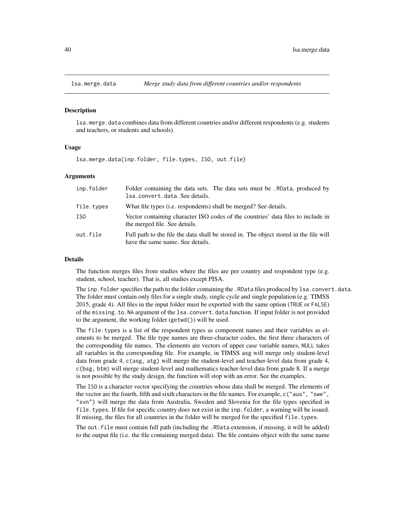<span id="page-39-0"></span>

#### Description

lsa.merge.data combines data from different countries and/or different respondents (e.g. students and teachers, or students and schools).

#### Usage

lsa.merge.data(inp.folder, file.types, ISO, out.file)

#### Arguments

| inp.folder | Folder containing the data sets. The data sets must be . RData, produced by<br>lsa.convert.data. See details.             |
|------------|---------------------------------------------------------------------------------------------------------------------------|
| file.types | What file types ( <i>i.e.</i> respondents) shall be merged? See details.                                                  |
| ISO        | Vector containing character ISO codes of the countries' data files to include in<br>the merged file. See details.         |
| out.file   | Full path to the file the data shall be stored in. The object stored in the file will<br>have the same name. See details. |

#### Details

The function merges files from studies where the files are per country and respondent type (e.g. student, school, teacher). That is, all studies except PISA.

The inp.folder specifies the path to the folder containing the .RData files produced by lsa.convert.data. The folder must contain only files for a single study, single cycle and single population (e.g. TIMSS 2015, grade 4). All files in the input folder must be exported with the same option (TRUE or FALSE) of the missing.to.NA argument of the lsa.convert.data function. If input folder is not provided to the argument, the working folder (getwd()) will be used.

The file.types is a list of the respondent types as component names and their variables as elements to be merged. The file type names are three-character codes, the first three characters of the corresponding file names. The elements are vectors of upper case variable names, NULL takes all variables in the corresponding file. For example, in TIMSS asg will merge only student-level data from grade 4, c(asg, atg) will merge the student-level and teacher-level data from grade 4, c(bsg, btm) will merge student-level and mathematics teacher-level data from grade 8. If a merge is not possible by the study design, the function will stop with an error. See the examples.

The ISO is a character vector specifying the countries whose data shall be merged. The elements of the vector are the fourth, fifth and sixth characters in the file names. For example, c("aus", "swe", "svn") will merge the data from Australia, Sweden and Slovenia for the file types specified in file.types. If file for specific country does not exist in the inp.folder, a warning will be issued. If missing, the files for all countries in the folder will be merged for the specified file. types.

The out. file must contain full path (including the .RData extension, if missing, it will be added) to the output file (i.e. the file containing merged data). The file contains object with the same name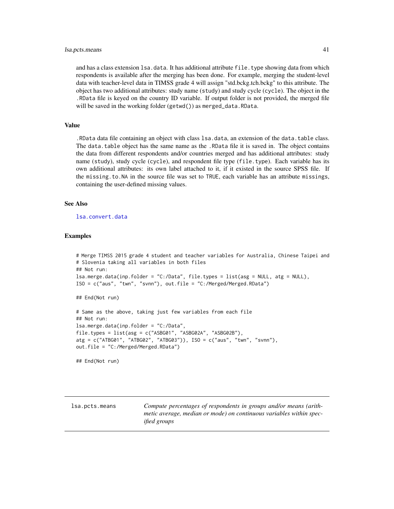#### <span id="page-40-0"></span>lsa.pcts.means 41

and has a class extension 1sa.data. It has additional attribute file.type showing data from which respondents is available after the merging has been done. For example, merging the student-level data with teacher-level data in TIMSS grade 4 will assign "std.bckg.tch.bckg" to this attribute. The object has two additional attributes: study name (study) and study cycle (cycle). The object in the .RData file is keyed on the country ID variable. If output folder is not provided, the merged file will be saved in the working folder (getwd()) as merged\_data.RData.

#### Value

.RData data file containing an object with class lsa.data, an extension of the data.table class. The data.table object has the same name as the .RData file it is saved in. The object contains the data from different respondents and/or countries merged and has additional attributes: study name (study), study cycle (cycle), and respondent file type (file.type). Each variable has its own additional attributes: its own label attached to it, if it existed in the source SPSS file. If the missing.to.NA in the source file was set to TRUE, each variable has an attribute missings, containing the user-defined missing values.

#### See Also

[lsa.convert.data](#page-14-1)

#### Examples

```
# Merge TIMSS 2015 grade 4 student and teacher variables for Australia, Chinese Taipei and
# Slovenia taking all variables in both files
## Not run:
lsa.merge.data(inp.folder = "C:/Data", file.types = list(asg = NULL, atg = NULL),
ISO = c("aus", "twn", "svnn"), out.file = "C:/Merged/Merged.RData")
## End(Not run)
# Same as the above, taking just few variables from each file
## Not run:
```

```
lsa.merge.data(inp.folder = "C:/Data",
file.types = list(asg = c("ASBG01", "ASBG02A", "ASBG02B"),
atg = c("ATBG01", "ATBG02", "ATBG03")), ISO = c("aus", "twn", "svnn"),
out.file = "C:/Merged/Merged.RData")
```
## End(Not run)

lsa.pcts.means *Compute percentages of respondents in groups and/or means (arithmetic average, median or mode) on continuous variables within specified groups*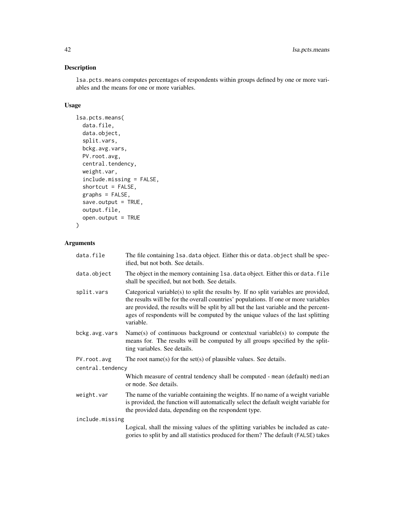# Description

lsa.pcts.means computes percentages of respondents within groups defined by one or more variables and the means for one or more variables.

# Usage

```
lsa.pcts.means(
  data.file,
 data.object,
  split.vars,
 bckg.avg.vars,
 PV.root.avg,
  central.tendency,
 weight.var,
  include.missing = FALSE,
  shortcut = FALSE,graphs = FALSE,
  save.output = TRUE,
 output.file,
  open.output = TRUE
\mathcal{L}
```
# Arguments

| data.file        | The file containing 1sa. data object. Either this or data. object shall be spec-<br>ified, but not both. See details.                                                                                                                                                                                                                                                 |  |
|------------------|-----------------------------------------------------------------------------------------------------------------------------------------------------------------------------------------------------------------------------------------------------------------------------------------------------------------------------------------------------------------------|--|
| data.object      | The object in the memory containing 1sa. data object. Either this or data. file<br>shall be specified, but not both. See details.                                                                                                                                                                                                                                     |  |
| split.vars       | Categorical variable(s) to split the results by. If no split variables are provided,<br>the results will be for the overall countries' populations. If one or more variables<br>are provided, the results will be split by all but the last variable and the percent-<br>ages of respondents will be computed by the unique values of the last splitting<br>variable. |  |
| bckg.avg.vars    | $Name(s)$ of continuous background or contextual variable(s) to compute the<br>means for. The results will be computed by all groups specified by the split-<br>ting variables. See details.                                                                                                                                                                          |  |
| PV.root.avg      | The root name(s) for the set(s) of plausible values. See details.                                                                                                                                                                                                                                                                                                     |  |
| central.tendency |                                                                                                                                                                                                                                                                                                                                                                       |  |
|                  | Which measure of central tendency shall be computed - mean (default) median<br>or mode. See details.                                                                                                                                                                                                                                                                  |  |
| weight.var       | The name of the variable containing the weights. If no name of a weight variable<br>is provided, the function will automatically select the default weight variable for<br>the provided data, depending on the respondent type.                                                                                                                                       |  |
| include.missing  |                                                                                                                                                                                                                                                                                                                                                                       |  |
|                  | Logical, shall the missing values of the splitting variables be included as cate-<br>gories to split by and all statistics produced for them? The default (FALSE) takes                                                                                                                                                                                               |  |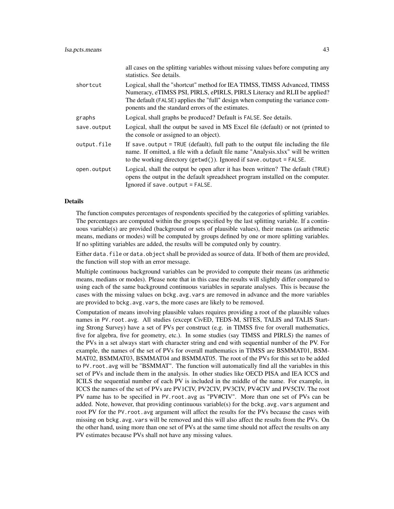|             | all cases on the splitting variables without missing values before computing any<br>statistics. See details.                                                                                                                                                                                 |
|-------------|----------------------------------------------------------------------------------------------------------------------------------------------------------------------------------------------------------------------------------------------------------------------------------------------|
| shortcut    | Logical, shall the "shortcut" method for IEA TIMSS, TIMSS Advanced, TIMSS<br>Numeracy, eTIMSS PSI, PIRLS, ePIRLS, PIRLS Literacy and RLII be applied?<br>The default (FALSE) applies the "full" design when computing the variance com-<br>ponents and the standard errors of the estimates. |
| graphs      | Logical, shall graphs be produced? Default is FALSE. See details.                                                                                                                                                                                                                            |
| save.output | Logical, shall the output be saved in MS Excel file (default) or not (printed to<br>the console or assigned to an object).                                                                                                                                                                   |
| output.file | If save output = TRUE (default), full path to the output file including the file<br>name. If omitted, a file with a default file name "Analysis.xlsx" will be written<br>to the working directory ( $getwd()$ ). Ignored if save output = $FALSE.$                                           |
| open.output | Logical, shall the output be open after it has been written? The default (TRUE)<br>opens the output in the default spreadsheet program installed on the computer.<br>Ignored if save.output = FALSE.                                                                                         |

#### Details

The function computes percentages of respondents specified by the categories of splitting variables. The percentages are computed within the groups specified by the last splitting variable. If a continuous variable(s) are provided (background or sets of plausible values), their means (as arithmetic means, medians or modes) will be computed by groups defined by one or more splitting variables. If no splitting variables are added, the results will be computed only by country.

Either data. file or data. object shall be provided as source of data. If both of them are provided, the function will stop with an error message.

Multiple continuous background variables can be provided to compute their means (as arithmetic means, medians or modes). Please note that in this case the results will slightly differ compared to using each of the same background continuous variables in separate analyses. This is because the cases with the missing values on bckg.avg.vars are removed in advance and the more variables are provided to bckg. avg. vars, the more cases are likely to be removed.

Computation of means involving plausible values requires providing a root of the plausible values names in PV.root.avg. All studies (except CivED, TEDS-M, SITES, TALIS and TALIS Starting Strong Survey) have a set of PVs per construct (e.g. in TIMSS five for overall mathematics, five for algebra, five for geometry, etc.). In some studies (say TIMSS and PIRLS) the names of the PVs in a set always start with character string and end with sequential number of the PV. For example, the names of the set of PVs for overall mathematics in TIMSS are BSMMAT01, BSM-MAT02, BSMMAT03, BSMMAT04 and BSMMAT05. The root of the PVs for this set to be added to PV.root.avg will be "BSMMAT". The function will automatically find all the variables in this set of PVs and include them in the analysis. In other studies like OECD PISA and IEA ICCS and ICILS the sequential number of each PV is included in the middle of the name. For example, in ICCS the names of the set of PVs are PV1CIV, PV2CIV, PV3CIV, PV4CIV and PV5CIV. The root PV name has to be specified in PV.root.avg as "PV#CIV". More than one set of PVs can be added. Note, however, that providing continuous variable(s) for the bckg.avg.vars argument and root PV for the PV, root, avg argument will affect the results for the PVs because the cases with missing on bckg.avg.vars will be removed and this will also affect the results from the PVs. On the other hand, using more than one set of PVs at the same time should not affect the results on any PV estimates because PVs shall not have any missing values.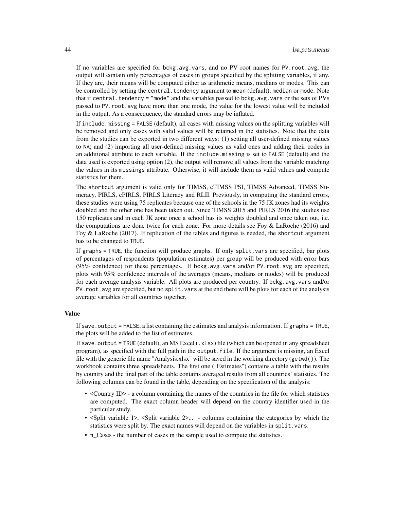If no variables are specified for bckg.avg.vars, and no PV root names for PV.root.avg, the output will contain only percentages of cases in groups specified by the splitting variables, if any. If they are, their means will be computed either as arithmetic means, medians or modes. This can be controlled by setting the central.tendency argument to mean (default), median or mode. Note that if central. tendency = "mode" and the variables passed to bckg.avg.vars or the sets of PVs passed to PV.root.avg have more than one mode, the value for the lowest value will be included in the output. As a conseequence, the standard errors may be inflated.

If include.missing = FALSE (default), all cases with missing values on the splitting variables will be removed and only cases with valid values will be retained in the statistics. Note that the data from the studies can be exported in two different ways: (1) setting all user-defined missing values to NA; and (2) importing all user-defined missing values as valid ones and adding their codes in an additional attribute to each variable. If the include.missing is set to FALSE (default) and the data used is exported using option (2), the output will remove all values from the variable matching the values in its missings attribute. Otherwise, it will include them as valid values and compute statistics for them.

The shortcut argument is valid only for TIMSS, eTIMSS PSI, TIMSS Advanced, TIMSS Numeracy, PIRLS, ePIRLS, PIRLS Literacy and RLII. Previously, in computing the standard errors, these studies were using 75 replicates because one of the schools in the 75 JK zones had its weights doubled and the other one has been taken out. Since TIMSS 2015 and PIRLS 2016 the studies use 150 replicates and in each JK zone once a school has its weights doubled and once taken out, i.e. the computations are done twice for each zone. For more details see Foy  $\&$  LaRoche (2016) and Foy & LaRoche (2017). If replication of the tables and figures is needed, the shortcut argument has to be changed to TRUE.

If graphs = TRUE, the function will produce graphs. If only split.vars are specified, bar plots of percentages of respondents (population estimates) per group will be produced with error bars (95% confidence) for these percentages. If bckg.avg.vars and/or PV.root.avg are specified, plots with 95% confidence intervals of the averages (means, medians or modes) will be produced for each average analysis variable. All plots are produced per country. If bckg.avg.vars and/or PV. root. avg are specified, but no split. vars at the end there will be plots for each of the analysis average variables for all countries together.

#### Value

If save.output = FALSE, a list containing the estimates and analysis information. If graphs = TRUE, the plots will be added to the list of estimates.

If save.output = TRUE (default), an MS Excel  $(.xlsx)$  file (which can be opened in any spreadsheet program), as specified with the full path in the output.file. If the argument is missing, an Excel file with the generic file name "Analysis.xlsx" will be saved in the working directory (getwd()). The workbook contains three spreadsheets. The first one ("Estimates") contains a table with the results by country and the final part of the table contains averaged results from all countries' statistics. The following columns can be found in the table, depending on the specification of the analysis:

- <Country ID> a column containing the names of the countries in the file for which statistics are computed. The exact column header will depend on the country identifier used in the particular study.
- <Split variable 1>, <Split variable 2>... columns containing the categories by which the statistics were split by. The exact names will depend on the variables in split.vars.
- n\_Cases the number of cases in the sample used to compute the statistics.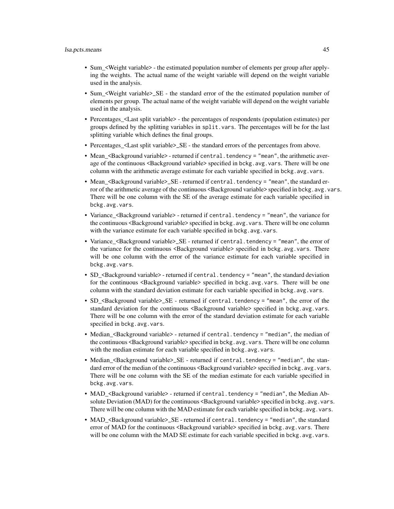- Sum\_<Weight variable> the estimated population number of elements per group after applying the weights. The actual name of the weight variable will depend on the weight variable used in the analysis.
- Sum <Weight variable>\_SE the standard error of the the estimated population number of elements per group. The actual name of the weight variable will depend on the weight variable used in the analysis.
- Percentages\_<Last split variable> the percentages of respondents (population estimates) per groups defined by the splitting variables in split. vars. The percentages will be for the last splitting variable which defines the final groups.
- Percentages\_<Last split variable>\_SE the standard errors of the percentages from above.
- Mean\_<Background variable> returned if central.tendency = "mean", the arithmetic average of the continuous <Background variable> specified in bckg.avg.vars. There will be one column with the arithmetic average estimate for each variable specified in bckg.avg.vars.
- Mean <Background variable>\_SE returned if central.tendency = "mean", the standard error of the arithmetic average of the continuous <Background variable> specified in bckg.avg.vars. There will be one column with the SE of the average estimate for each variable specified in bckg.avg.vars.
- Variance <Background variable> returned if central.tendency = "mean", the variance for the continuous <Background variable> specified in bckg. avg. vars. There will be one column with the variance estimate for each variable specified in bckg.avg.vars.
- Variance <Background variable>\_SE returned if central.tendency = "mean", the error of the variance for the continuous <Background variable> specified in bckg.avg.vars. There will be one column with the error of the variance estimate for each variable specified in bckg.avg.vars.
- SD\_<Background variable> returned if central.tendency = "mean", the standard deviation for the continuous <Background variable> specified in bckg.avg.vars. There will be one column with the standard deviation estimate for each variable specified in bckg.avg.vars.
- SD\_<Background variable>\_SE returned if central.tendency = "mean", the error of the standard deviation for the continuous <Background variable> specified in bckg.avg.vars. There will be one column with the error of the standard deviation estimate for each variable specified in bckg.avg.vars.
- Median <Background variable> returned if central.tendency = "median", the median of the continuous <Background variable> specified in bckg. avg. vars. There will be one column with the median estimate for each variable specified in bckg.avg.vars.
- Median\_<Background variable>\_SE returned if central.tendency = "median", the standard error of the median of the continuous <Background variable> specified in bckg.avg.vars. There will be one column with the SE of the median estimate for each variable specified in bckg.avg.vars.
- MAD <Background variable> returned if central.tendency = "median", the Median Absolute Deviation (MAD) for the continuous <Background variable> specified in bckg.avg.vars. There will be one column with the MAD estimate for each variable specified in bckg.avg.vars.
- MAD\_<Background variable>\_SE returned if central.tendency = "median", the standard error of MAD for the continuous <Background variable> specified in bckg.avg.vars. There will be one column with the MAD SE estimate for each variable specified in bckg.avg.vars.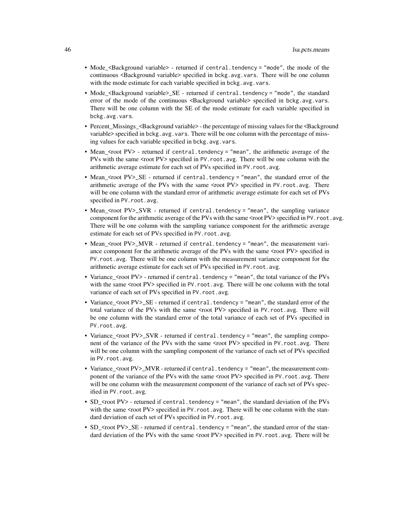- Mode\_<Background variable> returned if central.tendency = "mode", the mode of the continuous <Background variable> specified in bckg.avg.vars. There will be one column with the mode estimate for each variable specified in bckg.avg.vars.
- Mode <Background variable>\_SE returned if central.tendency = "mode", the standard error of the mode of the continuous <Background variable> specified in bckg.avg.vars. There will be one column with the SE of the mode estimate for each variable specified in bckg.avg.vars.
- Percent\_Missings\_<Background variable> the percentage of missing values for the <Background variable> specified in bckg.avg.vars. There will be one column with the percentage of missing values for each variable specified in bckg.avg.vars.
- Mean\_<root PV> returned if central.tendency = "mean", the arithmetic average of the PVs with the same <root PV> specified in PV.root.avg. There will be one column with the arithmetic average estimate for each set of PVs specified in PV.root.avg.
- Mean\_<root PV>\_SE returned if central.tendency = "mean", the standard error of the arithmetic average of the PVs with the same <root PV> specified in PV.root.avg. There will be one column with the standard error of arithmetic average estimate for each set of PVs specified in PV.root.avg.
- Mean\_<root PV>\_SVR returned if central.tendency = "mean", the sampling variance component for the arithmetic average of the PVs with the same <root PV> specified in PV. root. avg. There will be one column with the sampling variance component for the arithmetic average estimate for each set of PVs specified in PV.root.avg.
- Mean\_<root PV>\_MVR returned if central.tendency = "mean", the measurement variance component for the arithmetic average of the PVs with the same <root PV> specified in PV.root.avg. There will be one column with the measurement variance component for the arithmetic average estimate for each set of PVs specified in PV.root.avg.
- Variance\_<root PV> returned if central.tendency = "mean", the total variance of the PVs with the same <root PV> specified in PV. root. avg. There will be one column with the total variance of each set of PVs specified in PV.root.avg.
- Variance\_<root PV>\_SE returned if central.tendency = "mean", the standard error of the total variance of the PVs with the same <root PV> specified in PV.root.avg. There will be one column with the standard error of the total variance of each set of PVs specified in PV.root.avg.
- Variance\_<root PV>\_SVR returned if central.tendency = "mean", the sampling component of the variance of the PVs with the same <root PV> specified in PV. root. avg. There will be one column with the sampling component of the variance of each set of PVs specified in PV.root.avg.
- Variance  $<$ root PV $>_{\sim}$ MVR returned if central.tendency = "mean", the measurement component of the variance of the PVs with the same <root PV> specified in PV.root.avg. There will be one column with the measurement component of the variance of each set of PVs specified in PV.root.avg.
- SD <root PV> returned if central.tendency = "mean", the standard deviation of the PVs with the same <root PV> specified in PV.root.avg. There will be one column with the standard deviation of each set of PVs specified in PV. root. avg.
- SD  $\leq$ root PV>\_SE returned if central.tendency = "mean", the standard error of the standard deviation of the PVs with the same <root PV> specified in PV. root. avg. There will be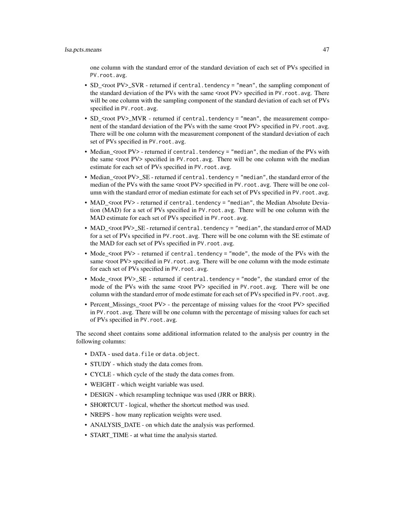one column with the standard error of the standard deviation of each set of PVs specified in PV.root.avg.

- SD\_<root PV>\_SVR returned if central.tendency = "mean", the sampling component of the standard deviation of the PVs with the same <root PV> specified in PV. root. avg. There will be one column with the sampling component of the standard deviation of each set of PVs specified in PV.root.avg.
- SD  $\leq$ root PV>\_MVR returned if central.tendency = "mean", the measurement component of the standard deviation of the PVs with the same <root PV> specified in PV.root.avg. There will be one column with the measurement component of the standard deviation of each set of PVs specified in PV. root. avg.
- Median\_<root PV> returned if central.tendency = "median", the median of the PVs with the same <root PV> specified in PV. root. avg. There will be one column with the median estimate for each set of PVs specified in PV.root.avg.
- Median\_<root PV>\_SE returned if central.tendency = "median", the standard error of the median of the PVs with the same <root PV> specified in PV.root.avg. There will be one column with the standard error of median estimate for each set of PVs specified in PV. root. avg.
- MAD\_<root PV> returned if central.tendency = "median", the Median Absolute Deviation (MAD) for a set of PVs specified in PV. root. avg. There will be one column with the MAD estimate for each set of PVs specified in PV.root.avg.
- MAD\_<root PV>\_SE returned if central.tendency = "median", the standard error of MAD for a set of PVs specified in PV.root.avg. There will be one column with the SE estimate of the MAD for each set of PVs specified in PV. root.avg.
- Mode\_<root PV> returned if central.tendency = "mode", the mode of the PVs with the same <root PV> specified in PV. root. avg. There will be one column with the mode estimate for each set of PVs specified in PV.root.avg.
- Mode\_<root PV>\_SE returned if central.tendency = "mode", the standard error of the mode of the PVs with the same <root PV> specified in PV.root.avg. There will be one column with the standard error of mode estimate for each set of PVs specified in PV. root. avg.
- Percent\_Missings\_<root PV> the percentage of missing values for the <root PV> specified in PV. root. avg. There will be one column with the percentage of missing values for each set of PVs specified in PV.root.avg.

The second sheet contains some additional information related to the analysis per country in the following columns:

- DATA used data.file or data.object.
- STUDY which study the data comes from.
- CYCLE which cycle of the study the data comes from.
- WEIGHT which weight variable was used.
- DESIGN which resampling technique was used (JRR or BRR).
- SHORTCUT logical, whether the shortcut method was used.
- NREPS how many replication weights were used.
- ANALYSIS DATE on which date the analysis was performed.
- START\_TIME at what time the analysis started.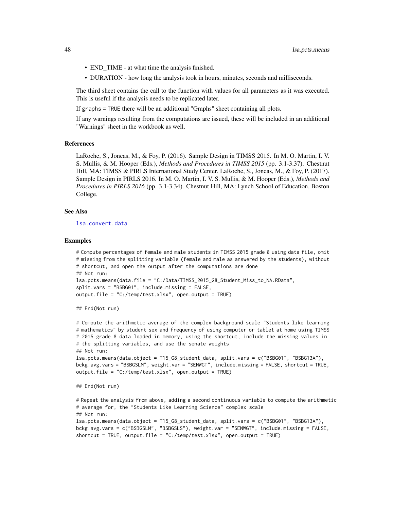- <span id="page-47-0"></span>• END\_TIME - at what time the analysis finished.
- DURATION how long the analysis took in hours, minutes, seconds and milliseconds.

The third sheet contains the call to the function with values for all parameters as it was executed. This is useful if the analysis needs to be replicated later.

If graphs = TRUE there will be an additional "Graphs" sheet containing all plots.

If any warnings resulting from the computations are issued, these will be included in an additional "Warnings" sheet in the workbook as well.

#### References

LaRoche, S., Joncas, M., & Foy, P. (2016). Sample Design in TIMSS 2015. In M. O. Martin, I. V. S. Mullis, & M. Hooper (Eds.), *Methods and Procedures in TIMSS 2015* (pp. 3.1-3.37). Chestnut Hill, MA: TIMSS & PIRLS International Study Center. LaRoche, S., Joncas, M., & Foy, P. (2017). Sample Design in PIRLS 2016. In M. O. Martin, I. V. S. Mullis, & M. Hooper (Eds.), *Methods and Procedures in PIRLS 2016* (pp. 3.1-3.34). Chestnut Hill, MA: Lynch School of Education, Boston College.

#### See Also

[lsa.convert.data](#page-14-1)

#### Examples

```
# Compute percentages of female and male students in TIMSS 2015 grade 8 using data file, omit
# missing from the splitting variable (female and male as answered by the students), without
# shortcut, and open the output after the computations are done
## Not run:
lsa.pcts.means(data.file = "C:/Data/TIMSS_2015_G8_Student_Miss_to_NA.RData",
split.vars = "BSBG01", include.missing = FALSE,
output.file = "C:/temp/test.xlsx", open.output = TRUE)
```
## End(Not run)

```
# Compute the arithmetic average of the complex background scale "Students like learning
# mathematics" by student sex and frequency of using computer or tablet at home using TIMSS
# 2015 grade 8 data loaded in memory, using the shortcut, include the missing values in
# the splitting variables, and use the senate weights
## Not run:
lsa.pcts.means(data.object = T15_G8_student_data, split.vars = c("BSBG01", "BSBG13A"),
bckg.avg.vars = "BSBGSLM", weight.var = "SENWGT", include.missing = FALSE, shortcut = TRUE,
output.file = "C:/temp/test.xlsx", open.output = TRUE)
```

```
## End(Not run)
```

```
# Repeat the analysis from above, adding a second continuous variable to compute the arithmetic
# average for, the "Students Like Learning Science" complex scale
## Not run:
lsa.pcts.means(data.object = T15_G8_student_data, split.vars = c("BSBG01", "BSBG13A"),
bckg.avg.vars = c("BSBGSLM", "BSBGSLS"), weight.var = "SENWGT", include.missing = FALSE,
shortcut = TRUE, output.file = "C:/temp/test.xlsx", open.output = TRUE)
```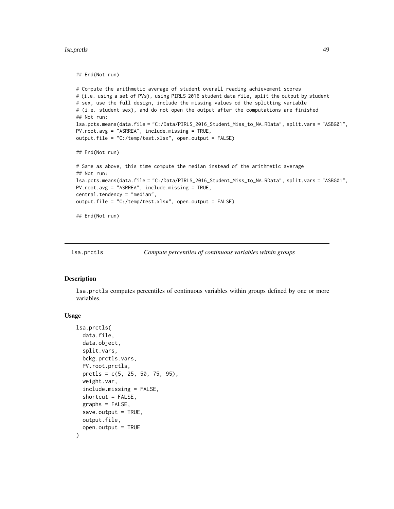#### <span id="page-48-0"></span>lsa.prctls 49

## End(Not run)

```
# Compute the arithmetic average of student overall reading achievement scores
# (i.e. using a set of PVs), using PIRLS 2016 student data file, split the output by student
# sex, use the full design, include the missing values od the splitting variable
# (i.e. student sex), and do not open the output after the computations are finished
## Not run:
lsa.pcts.means(data.file = "C:/Data/PIRLS_2016_Student_Miss_to_NA.RData", split.vars = "ASBG01",
PV.root.avg = "ASRREA", include.missing = TRUE,
output.file = "C:/temp/test.xlsx", open.output = FALSE)
## End(Not run)
# Same as above, this time compute the median instead of the arithmetic average
## Not run:
lsa.pcts.means(data.file = "C:/Data/PIRLS_2016_Student_Miss_to_NA.RData", split.vars = "ASBG01",
PV.root.avg = "ASRREA", include.missing = TRUE,
central.tendency = "median",
output.file = "C:/temp/test.xlsx", open.output = FALSE)
## End(Not run)
```

```
lsa.prctls Compute percentiles of continuous variables within groups
```
## **Description**

lsa.prctls computes percentiles of continuous variables within groups defined by one or more variables.

#### Usage

```
lsa.prctls(
  data.file,
  data.object,
  split.vars,
  bckg.prctls.vars,
  PV.root.prctls,
  prctls = c(5, 25, 50, 75, 95),
  weight.var,
  include.missing = FALSE,
  shortcut = FALSE,
  graphs = FALSE,
  save.output = TRUE,output.file,
  open.output = TRUE
)
```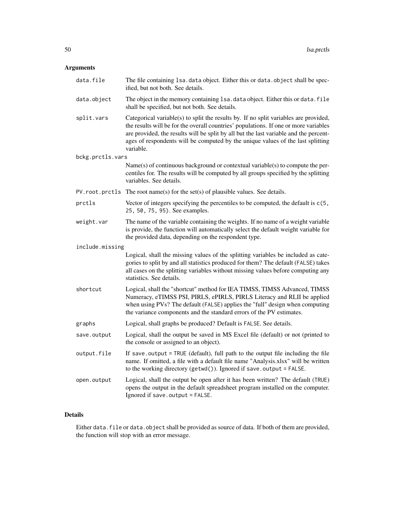# Arguments

| data.file        | The file containing 1sa. data object. Either this or data. object shall be spec-<br>ified, but not both. See details.                                                                                                                                                                                                                                                 |
|------------------|-----------------------------------------------------------------------------------------------------------------------------------------------------------------------------------------------------------------------------------------------------------------------------------------------------------------------------------------------------------------------|
| data.object      | The object in the memory containing 1sa. data object. Either this or data. file<br>shall be specified, but not both. See details.                                                                                                                                                                                                                                     |
| split.vars       | Categorical variable(s) to split the results by. If no split variables are provided,<br>the results will be for the overall countries' populations. If one or more variables<br>are provided, the results will be split by all but the last variable and the percent-<br>ages of respondents will be computed by the unique values of the last splitting<br>variable. |
| bckg.prctls.vars |                                                                                                                                                                                                                                                                                                                                                                       |
|                  | Name(s) of continuous background or contextual variable(s) to compute the per-<br>centiles for. The results will be computed by all groups specified by the splitting<br>variables. See details.                                                                                                                                                                      |
| PV.root.prctls   | The root name(s) for the set(s) of plausible values. See details.                                                                                                                                                                                                                                                                                                     |
| prctls           | Vector of integers specifying the percentiles to be computed, the default is $c(5, 1)$<br>25, 50, 75, 95). See examples.                                                                                                                                                                                                                                              |
| weight.var       | The name of the variable containing the weights. If no name of a weight variable<br>is provide, the function will automatically select the default weight variable for<br>the provided data, depending on the respondent type.                                                                                                                                        |
| include.missing  |                                                                                                                                                                                                                                                                                                                                                                       |
|                  | Logical, shall the missing values of the splitting variables be included as cate-<br>gories to split by and all statistics produced for them? The default (FALSE) takes<br>all cases on the splitting variables without missing values before computing any<br>statistics. See details.                                                                               |
| shortcut         | Logical, shall the "shortcut" method for IEA TIMSS, TIMSS Advanced, TIMSS<br>Numeracy, eTIMSS PSI, PIRLS, ePIRLS, PIRLS Literacy and RLII be applied<br>when using PVs? The default (FALSE) applies the "full" design when computing<br>the variance components and the standard errors of the PV estimates.                                                          |
| graphs           | Logical, shall graphs be produced? Default is FALSE. See details.                                                                                                                                                                                                                                                                                                     |
| save.output      | Logical, shall the output be saved in MS Excel file (default) or not (printed to<br>the console or assigned to an object).                                                                                                                                                                                                                                            |
| output.file      | If save output = TRUE (default), full path to the output file including the file<br>name. If omitted, a file with a default file name "Analysis.xlsx" will be written<br>to the working directory (getwd()). Ignored if save.output = FALSE.                                                                                                                          |
| open.output      | Logical, shall the output be open after it has been written? The default (TRUE)<br>opens the output in the default spreadsheet program installed on the computer.<br>Ignored if save.output = FALSE.                                                                                                                                                                  |

# Details

Either data.file or data.object shall be provided as source of data. If both of them are provided, the function will stop with an error message.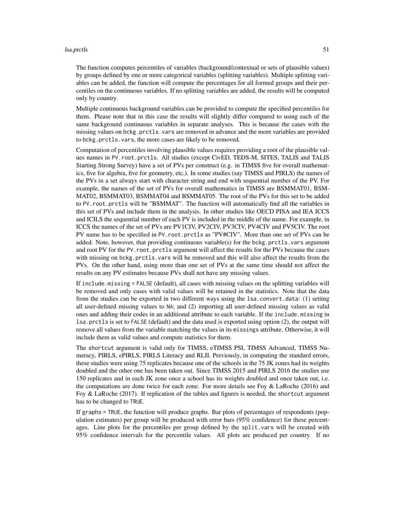#### lsa.prctls 51

The function computes percentiles of variables (background/contextual or sets of plausible values) by groups defined by one or more categorical variables (splitting variables). Multiple splitting variables can be added, the function will compute the percentages for all formed groups and their percentiles on the continuous variables. If no splitting variables are added, the results will be computed only by country.

Multiple continuous background variables can be provided to compute the specified percentiles for them. Please note that in this case the results will slightly differ compared to using each of the same background continuous variables in separate analyses. This is because the cases with the missing values on bckg.prctls.vars are removed in advance and the more variables are provided to bckg.prctls.vars, the more cases are likely to be removed.

Computation of percentiles involving plausible values requires providing a root of the plausible values names in PV.root.prctls. All studies (except CivED, TEDS-M, SITES, TALIS and TALIS Starting Strong Survey) have a set of PVs per construct (e.g. in TIMSS five for overall mathematics, five for algebra, five for geometry, etc.). In some studies (say TIMSS and PIRLS) the names of the PVs in a set always start with character string and end with sequential number of the PV. For example, the names of the set of PVs for overall mathematics in TIMSS are BSMMAT01, BSM-MAT02, BSMMAT03, BSMMAT04 and BSMMAT05. The root of the PVs for this set to be added to PV.root.prctls will be "BSMMAT". The function will automatically find all the variables in this set of PVs and include them in the analysis. In other studies like OECD PISA and IEA ICCS and ICILS the sequential number of each PV is included in the middle of the name. For example, in ICCS the names of the set of PVs are PV1CIV, PV2CIV, PV3CIV, PV4CIV and PV5CIV. The root PV name has to be specified in PV.root.prctls as "PV#CIV". More than one set of PVs can be added. Note, however, that providing continuous variable(s) for the bckg.prctls.vars argument and root PV for the PV.root.prctls argument will affect the results for the PVs because the cases with missing on bckg.prctls.vars will be removed and this will also affect the results from the PVs. On the other hand, using more than one set of PVs at the same time should not affect the results on any PV estimates because PVs shall not have any missing values.

If include.missing = FALSE (default), all cases with missing values on the splitting variables will be removed and only cases with valid values will be retained in the statistics. Note that the data from the studies can be exported in two different ways using the lsa.convert.data: (1) setting all user-defined missing values to NA; and (2) importing all user-defined missing values as valid ones and adding their codes in an additional attribute to each variable. If the include.missing in lsa.prctls is set to FALSE (default) and the data used is exported using option (2), the output will remove all values from the variable matching the values in its missings attribute. Otherwise, it will include them as valid values and compute statistics for them.

The shortcut argument is valid only for TIMSS, eTIMSS PSI, TIMSS Advanced, TIMSS Numeracy, PIRLS, ePIRLS, PIRLS Literacy and RLII. Previously, in computing the standard errors, these studies were using 75 replicates because one of the schools in the 75 JK zones had its weights doubled and the other one has been taken out. Since TIMSS 2015 and PIRLS 2016 the studies use 150 replicates and in each JK zone once a school has its weights doubled and once taken out, i.e. the computations are done twice for each zone. For more details see Foy  $\&$  LaRoche (2016) and Foy & LaRoche (2017). If replication of the tables and figures is needed, the shortcut argument has to be changed to TRUE.

If graphs = TRUE, the function will produce graphs. Bar plots of percentages of respondents (population estimates) per group will be produced with error bars (95% confidence) for these percentages. Line plots for the percentiles per group defined by the split. vars will be created with 95% confidence intervals for the percentile values. All plots are produced per country. If no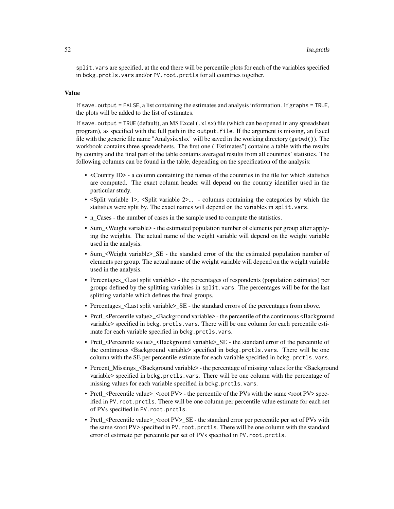split.vars are specified, at the end there will be percentile plots for each of the variables specified in bckg.prctls.vars and/or PV.root.prctls for all countries together.

#### Value

If save. output = FALSE, a list containing the estimates and analysis information. If graphs = TRUE, the plots will be added to the list of estimates.

If save. output = TRUE (default), an MS Excel  $(.x1sx)$  file (which can be opened in any spreadsheet program), as specified with the full path in the output.file. If the argument is missing, an Excel file with the generic file name "Analysis.xlsx" will be saved in the working directory (getwd()). The workbook contains three spreadsheets. The first one ("Estimates") contains a table with the results by country and the final part of the table contains averaged results from all countries' statistics. The following columns can be found in the table, depending on the specification of the analysis:

- <Country ID> a column containing the names of the countries in the file for which statistics are computed. The exact column header will depend on the country identifier used in the particular study.
- <Split variable 1>, <Split variable 2>... columns containing the categories by which the statistics were split by. The exact names will depend on the variables in split.vars.
- n\_Cases the number of cases in the sample used to compute the statistics.
- Sum\_<Weight variable> the estimated population number of elements per group after applying the weights. The actual name of the weight variable will depend on the weight variable used in the analysis.
- Sum\_<Weight variable>\_SE the standard error of the the estimated population number of elements per group. The actual name of the weight variable will depend on the weight variable used in the analysis.
- Percentages <Last split variable> the percentages of respondents (population estimates) per groups defined by the splitting variables in split.vars. The percentages will be for the last splitting variable which defines the final groups.
- Percentages\_<Last split variable>\_SE the standard errors of the percentages from above.
- Prctl\_<Percentile value>\_<Background variable> the percentile of the continuous <Background variable> specified in bckg.prctls.vars. There will be one column for each percentile estimate for each variable specified in bckg.prctls.vars.
- Prctl\_<Percentile value>\_<Background variable>\_SE the standard error of the percentile of the continuous <Background variable> specified in bckg.prctls.vars. There will be one column with the SE per percentile estimate for each variable specified in bckg.prctls.vars.
- Percent\_Missings\_<Background variable> the percentage of missing values for the <Background variable> specified in bckg.prctls.vars. There will be one column with the percentage of missing values for each variable specified in bckg.prctls.vars.
- Prctl\_<Percentile value>\_<root PV> the percentile of the PVs with the same <root PV> specified in PV.root.prctls. There will be one column per percentile value estimate for each set of PVs specified in PV.root.prctls.
- Prctl\_<Percentile value>\_<root PV>\_SE the standard error per percentile per set of PVs with the same <root PV> specified in PV. root.prctls. There will be one column with the standard error of estimate per percentile per set of PVs specified in PV.root.prctls.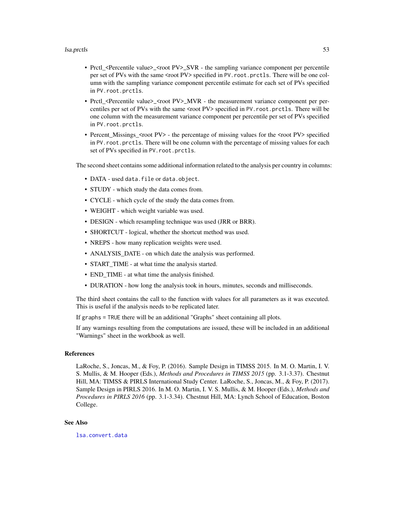#### <span id="page-52-0"></span>lsa.prctls 53

- Prctl\_<Percentile value>\_<root PV>\_SVR the sampling variance component per percentile per set of PVs with the same <root PV> specified in PV. root.prctls. There will be one column with the sampling variance component percentile estimate for each set of PVs specified in PV.root.prctls.
- Prctl\_<Percentile value>\_<root PV>\_MVR the measurement variance component per percentiles per set of PVs with the same <root PV> specified in PV.root.prctls. There will be one column with the measurement variance component per percentile per set of PVs specified in PV.root.prctls.
- Percent\_Missings\_<root PV> the percentage of missing values for the <root PV> specified in PV. root. prctls. There will be one column with the percentage of missing values for each set of PVs specified in PV.root.prctls.

The second sheet contains some additional information related to the analysis per country in columns:

- DATA used data.file or data.object.
- STUDY which study the data comes from.
- CYCLE which cycle of the study the data comes from.
- WEIGHT which weight variable was used.
- DESIGN which resampling technique was used (JRR or BRR).
- SHORTCUT logical, whether the shortcut method was used.
- NREPS how many replication weights were used.
- ANALYSIS\_DATE on which date the analysis was performed.
- START\_TIME at what time the analysis started.
- END TIME at what time the analysis finished.
- DURATION how long the analysis took in hours, minutes, seconds and milliseconds.

The third sheet contains the call to the function with values for all parameters as it was executed. This is useful if the analysis needs to be replicated later.

If graphs = TRUE there will be an additional "Graphs" sheet containing all plots.

If any warnings resulting from the computations are issued, these will be included in an additional "Warnings" sheet in the workbook as well.

# References

LaRoche, S., Joncas, M., & Foy, P. (2016). Sample Design in TIMSS 2015. In M. O. Martin, I. V. S. Mullis, & M. Hooper (Eds.), *Methods and Procedures in TIMSS 2015* (pp. 3.1-3.37). Chestnut Hill, MA: TIMSS & PIRLS International Study Center. LaRoche, S., Joncas, M., & Foy, P. (2017). Sample Design in PIRLS 2016. In M. O. Martin, I. V. S. Mullis, & M. Hooper (Eds.), *Methods and Procedures in PIRLS 2016* (pp. 3.1-3.34). Chestnut Hill, MA: Lynch School of Education, Boston College.

## See Also

[lsa.convert.data](#page-14-1)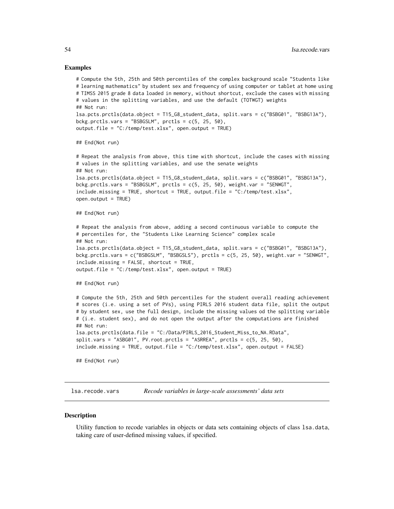#### Examples

```
# Compute the 5th, 25th and 50th percentiles of the complex background scale "Students like
# learning mathematics" by student sex and frequency of using computer or tablet at home using
# TIMSS 2015 grade 8 data loaded in memory, without shortcut, exclude the cases with missing
# values in the splitting variables, and use the default (TOTWGT) weights
## Not run:
lsa.pcts.prctls(data.object = T15_G8_student_data, split.vars = c("BSBG01", "BSBG13A"),
bckg.prctls.vars = "BSBGSLM", prctls = c(5, 25, 50),
output.file = "C://temp/test.xlsx", open.output = TRUE)## End(Not run)
# Repeat the analysis from above, this time with shortcut, include the cases with missing
# values in the splitting variables, and use the senate weights
## Not run:
lsa.pcts.prctls(data.object = T15_G8_student_data, split.vars = c("BSBG01", "BSBG13A"),
bckg.prctls.vars = "BSBGSLM", prctls = c(5, 25, 50), weight.var = "SENWGT",
include.missing = TRUE, shortcut = TRUE, output.file = "C:/temp/test.xlsx",
open.output = TRUE)
## End(Not run)
# Repeat the analysis from above, adding a second continuous variable to compute the
# percentiles for, the "Students Like Learning Science" complex scale
## Not run:
lsa.pcts.prctls(data.object = T15_G8_student_data, split.vars = c("BSBG01", "BSBG13A"),
bckg.prctls.vars = c("BSBGSLM", "BSBGSLS"), prctls = c(5, 25, 50), weight.var = "SENWGT",
include.missing = FALSE, shortcut = TRUE,
output.file = "C:/temp/test.xlsx", open.output = TRUE)
## End(Not run)
# Compute the 5th, 25th and 50th percentiles for the student overall reading achievement
# scores (i.e. using a set of PVs), using PIRLS 2016 student data file, split the output
# by student sex, use the full design, include the missing values od the splitting variable
# (i.e. student sex), and do not open the output after the computations are finished
## Not run:
lsa.pcts.prctls(data.file = "C:/Data/PIRLS_2016_Student_Miss_to_NA.RData",
split.vars = "ASBG01", PV(root.prctls = "ASRREA", pretls = c(5, 25, 50),include.missing = TRUE, output.file = "C:/temp/test.xlsx", open.output = FALSE)
## End(Not run)
```
<span id="page-53-1"></span>lsa.recode.vars *Recode variables in large-scale assessments' data sets*

#### **Description**

Utility function to recode variables in objects or data sets containing objects of class lsa.data, taking care of user-defined missing values, if specified.

<span id="page-53-0"></span>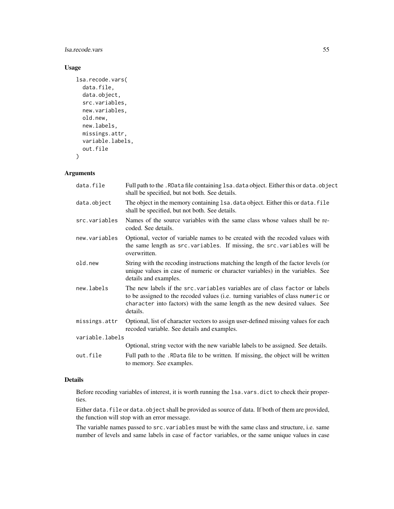lsa.recode.vars 55

# Usage

```
lsa.recode.vars(
 data.file,
  data.object,
  src.variables,
  new.variables,
 old.new,
  new.labels,
 missings.attr,
 variable.labels,
  out.file
)
```
# Arguments

| data.file       | Full path to the . RData file containing 1sa. data object. Either this or data. object<br>shall be specified, but not both. See details.                                                                                                                    |
|-----------------|-------------------------------------------------------------------------------------------------------------------------------------------------------------------------------------------------------------------------------------------------------------|
| data.object     | The object in the memory containing 1sa. data object. Either this or data. file<br>shall be specified, but not both. See details.                                                                                                                           |
| src.variables   | Names of the source variables with the same class whose values shall be re-<br>coded. See details.                                                                                                                                                          |
| new.variables   | Optional, vector of variable names to be created with the recoded values with<br>the same length as src. variables. If missing, the src. variables will be<br>overwritten.                                                                                  |
| old.new         | String with the recoding instructions matching the length of the factor levels (or<br>unique values in case of numeric or character variables) in the variables. See<br>details and examples.                                                               |
| new.labels      | The new labels if the src. variables variables are of class factor or labels<br>to be assigned to the recoded values (i.e. turning variables of class numeric or<br>character into factors) with the same length as the new desired values. See<br>details. |
| missings.attr   | Optional, list of character vectors to assign user-defined missing values for each<br>recoded variable. See details and examples.                                                                                                                           |
| variable.labels |                                                                                                                                                                                                                                                             |
|                 | Optional, string vector with the new variable labels to be assigned. See details.                                                                                                                                                                           |
| out.file        | Full path to the .RData file to be written. If missing, the object will be written<br>to memory. See examples.                                                                                                                                              |

#### Details

Before recoding variables of interest, it is worth running the lsa.vars.dict to check their properties.

Either data.file or data.object shall be provided as source of data. If both of them are provided, the function will stop with an error message.

The variable names passed to src.variables must be with the same class and structure, i.e. same number of levels and same labels in case of factor variables, or the same unique values in case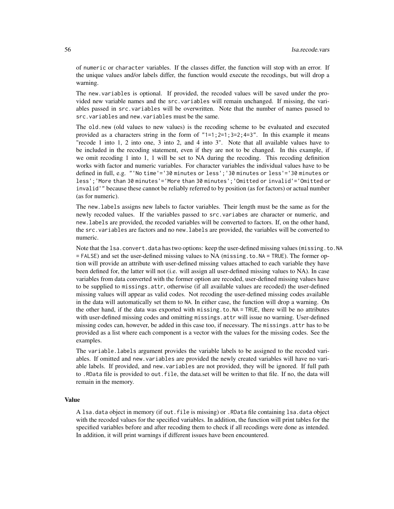of numeric or character variables. If the classes differ, the function will stop with an error. If the unique values and/or labels differ, the function would execute the recodings, but will drop a warning.

The new.variables is optional. If provided, the recoded values will be saved under the provided new variable names and the src.variables will remain unchanged. If missing, the variables passed in src.variables will be overwritten. Note that the number of names passed to src.variables and new.variables must be the same.

The old.new (old values to new values) is the recoding scheme to be evaluated and executed provided as a characters string in the form of  $"1=1;2=1;3=2;4=3"$ . In this example it means "recode 1 into 1, 2 into one, 3 into 2, and 4 into 3". Note that all available values have to be included in the recoding statement, even if they are not to be changed. In this example, if we omit recoding 1 into 1, 1 will be set to NA during the recoding. This recoding definition works with factor and numeric variables. For character variables the individual values have to be defined in full, e.g. "'No time'='30 minutes or less';'30 minutes or less'='30 minutes or less';'More than 30 minutes'='More than 30 minutes';'Omitted or invalid'='Omitted or invalid'" because these cannot be reliably referred to by position (as for factors) or actual number (as for numeric).

The new.labels assigns new labels to factor variables. Their length must be the same as for the newly recoded values. If the variables passed to src.variabes are character or numeric, and new.labels are provided, the recoded variables will be converted to factors. If, on the other hand, the src.variables are factors and no new.labels are provided, the variables will be converted to numeric.

Note that the lsa.convert.data has two options: keep the user-defined missing values (missing.to.NA = FALSE) and set the user-defined missing values to NA (missing.to.NA = TRUE). The former option will provide an attribute with user-defined missing values attached to each variable they have been defined for, the latter will not (i.e. will assign all user-defined missing values to NA). In case variables from data converted with the former option are recoded, user-defined missing values have to be supplied to missings.attr, otherwise (if all available values are recoded) the user-defined missing values will appear as valid codes. Not recoding the user-defined missing codes available in the data will automatically set them to NA. In either case, the function will drop a warning. On the other hand, if the data was exported with missing.to.NA = TRUE, there will be no attributes with user-defined missing codes and omitting missings.attr will issue no warning. User-defined missing codes can, however, be added in this case too, if necessary. The missings.attr has to be provided as a list where each component is a vector with the values for the missing codes. See the examples.

The variable.labels argument provides the variable labels to be assigned to the recoded variables. If omitted and new.variables are provided the newly created variables will have no variable labels. If provided, and new.variables are not provided, they will be ignored. If full path to .RData file is provided to out.file, the data.set will be written to that file. If no, the data will remain in the memory.

#### Value

A lsa.data object in memory (if out.file is missing) or .RData file containing lsa.data object with the recoded values for the specified variables. In addition, the function will print tables for the specified variables before and after recoding them to check if all recodings were done as intended. In addition, it will print warnings if different issues have been encountered.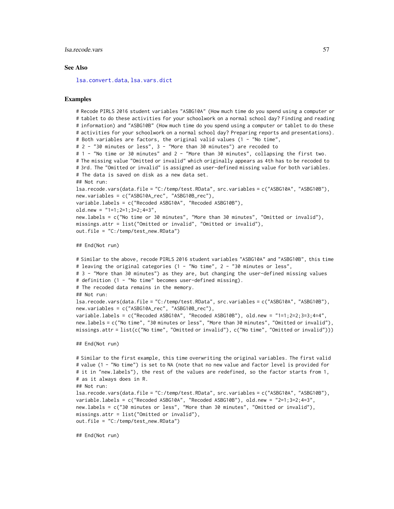#### <span id="page-56-0"></span>lsa.recode.vars 57

#### See Also

[lsa.convert.data](#page-14-1), [lsa.vars.dict](#page-57-1)

## Examples

```
# Recode PIRLS 2016 student variables "ASBG10A" (How much time do you spend using a computer or
# tablet to do these activities for your schoolwork on a normal school day? Finding and reading
# information) and "ASBG10B" (How much time do you spend using a computer or tablet to do these
# activities for your schoolwork on a normal school day? Preparing reports and presentations).
# Both variables are factors, the original valid values (1 - "No time",
# 2 - "30 minutes or less", 3 - "More than 30 minutes") are recoded to
# 1 - "No time or 30 minutes" and 2 - "More than 30 minutes", collapsing the first two.
# The missing value "Omitted or invalid" which originally appears as 4th has to be recoded to
# 3rd. The "Omitted or invalid" is assigned as user-defined missing value for both variables.
# The data is saved on disk as a new data set.
## Not run:
lsa.recode.vars(data.file = "C:/temp/test.RData", src.variables = c("ASBG10A", "ASBG10B"),
new.variables = c("ASBG10A_rec", "ASBG10B_rec"),
variable.labels = c("Recoded ASBG10A", "Recoded ASBG10B"),
old.new = "1=1;2=1;3=2;4=3",
new.labels = c("No time or 30 minutes", "More than 30 minutes", "Omitted or invalid"),
missings.attr = list("Omitted or invalid", "Omitted or invalid"),
out.file = "C:/temp/test_new.RData")
```

```
## End(Not run)
```

```
# Similar to the above, recode PIRLS 2016 student variables "ASBG10A" and "ASBG10B", this time
# leaving the original categories (1 - "No time", 2 - "30 minutes or less",
# 3 - "More than 30 minutes") as they are, but changing the user-defined missing values
# definition (1 - "No time" becomes user-defined missing).
# The recoded data remains in the memory.
## Not run:
lsa.recode.vars(data.file = "C:/temp/test.RData", src.variables = c("ASBG10A", "ASBG10B"),
new.variables = c("ASBG10A_rec", "ASBG10B_rec"),
variable.labels = c("Recoded ASBG10A", "Recoded ASBG10B"), old.new = "1=1;2=2;3=3;4=4",
new.labels = c("No time", "30 minutes or less", "More than 30 minutes", "Omitted or invalid"),
missings.attr = list(c("No time", "Omitted or invalid"), c("No time", "Omitted or invalid")))
```

```
## End(Not run)
```

```
# Similar to the first example, this time overwriting the original variables. The first valid
# value (1 - "No time") is set to NA (note that no new value and factor level is provided for
# it in "new.labels"), the rest of the values are redefined, so the factor starts from 1,
# as it always does in R.
## Not run:
lsa.recode.vars(data.file = "C:/temp/test.RData", src.variables = c("ASBG10A", "ASBG10B"),
variable.labels = c("Recoded ASBG10A", "Recoded ASBG10B"), old.new = "2=1;3=2;4=3",
new.labels = c("30 minutes or less", "More than 30 minutes", "Omitted or invalid"),
missings.attr = list("Omitted or invalid"),
out.file = "C:/temp/test_new.RData")
```
## End(Not run)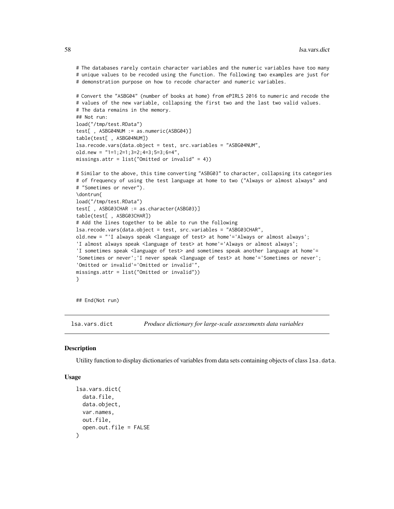# The databases rarely contain character variables and the numeric variables have too many # unique values to be recoded using the function. The following two examples are just for # demonstration purpose on how to recode character and numeric variables.

```
# Convert the "ASBG04" (number of books at home) from ePIRLS 2016 to numeric and recode the
# values of the new variable, collapsing the first two and the last two valid values.
# The data remains in the memory.
## Not run:
load("/tmp/test.RData")
test[ , ASBG04NUM := as.numeric(ASBG04)]
table(test[ , ASBG04NUM])
lsa.recode.vars(data.object = test, src.variables = "ASBG04NUM",
old.new = "1=1;2=1;3=2;4=3;5=3;6=4",
missings.attr = list("Omitted or invalid" = 4))
```

```
# Similar to the above, this time converting "ASBG03" to character, collapsing its categories
# of frequency of using the test language at home to two ("Always or almost always" and
# "Sometimes or never").
\dontrun{
load("/tmp/test.RData")
test[ , ASBG03CHAR := as.character(ASBG03)]
table(test[ , ASBG03CHAR])
# Add the lines together to be able to run the following
lsa.recode.vars(data.object = test, src.variables = "ASBG03CHAR",
old.new = "'I always speak <language of test> at home'='Always or almost always';
'I almost always speak <language of test> at home'='Always or almost always';
'I sometimes speak <language of test> and sometimes speak another language at home'=
'Sometimes or never';'I never speak <language of test> at home'='Sometimes or never';
'Omitted or invalid'='Omitted or invalid'",
missings.attr = list("Omitted or invalid"))
}
```
## End(Not run)

<span id="page-57-1"></span>lsa.vars.dict *Produce dictionary for large-scale assessments data variables*

#### **Description**

Utility function to display dictionaries of variables from data sets containing objects of class 1sa.data.

#### Usage

```
lsa.vars.dict(
  data.file,
  data.object,
  var.names,
 out.file,
  open.out.file = FALSE
)
```
<span id="page-57-0"></span>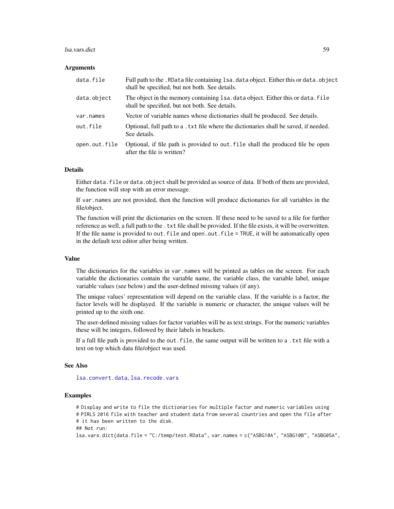#### <span id="page-58-0"></span>lsa.vars.dict 59

#### **Arguments**

| data.file     | Full path to the . RData file containing 1sa. data object. Either this or data. object<br>shall be specified, but not both. See details. |
|---------------|------------------------------------------------------------------------------------------------------------------------------------------|
| data.object   | The object in the memory containing 1sa. data object. Either this or data. file<br>shall be specified, but not both. See details.        |
| var.names     | Vector of variable names whose dictionaries shall be produced. See details.                                                              |
| out.file      | Optional, full path to a . txt file where the dictionaries shall be saved, if needed.<br>See details.                                    |
| open.out.file | Optional, if file path is provided to out file shall the produced file be open<br>after the file is written?                             |

# Details

Either data. file or data. object shall be provided as source of data. If both of them are provided, the function will stop with an error message.

If var.names are not provided, then the function will produce dictionaries for all variables in the file/object.

The function will print the dictionaries on the screen. If these need to be saved to a file for further reference as well, a full path to the . txt file shall be provided. If the file exists, it will be overwritten. If the file name is provided to out.  $file$  and open.out.  $file = TRUE$ , it will be automatically open in the default text editor after being written.

#### Value

The dictionaries for the variables in var.names will be printed as tables on the screen. For each variable the dictionaries contain the variable name, the variable class, the variable label, unique variable values (see below) and the user-defined missing values (if any).

The unique values' representation will depend on the variable class. If the variable is a factor, the factor levels will be displayed. If the variable is numeric or character, the unique values will be printed up to the sixth one.

The user-defined missing values for factor variables will be as text strings. For the numeric variables these will be integers, followed by their labels in brackets.

If a full file path is provided to the out.file, the same output will be written to a .txt file with a text on top which data file/object was used.

#### See Also

[lsa.convert.data](#page-14-1), [lsa.recode.vars](#page-53-1)

# Examples

# Display and write to file the dictionaries for multiple factor and numeric variables using # PIRLS 2016 file with teacher and student data from several countries and open the file after # it has been written to the disk. ## Not run: lsa.vars.dict(data.file = "C:/temp/test.RData", var.names = c("ASBG10A", "ASBG10B", "ASBG05A",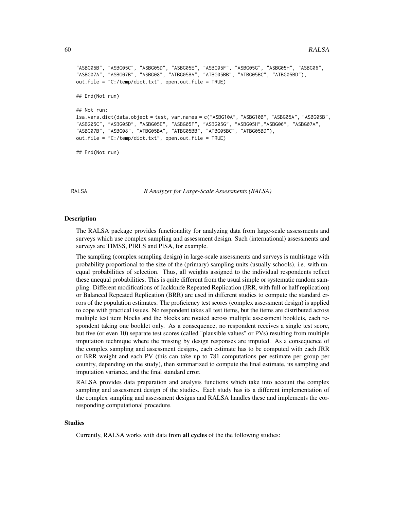```
"ASBG05B", "ASBG05C", "ASBG05D", "ASBG05E", "ASBG05F", "ASBG05G", "ASBG05H", "ASBG06",
"ASBG07A", "ASBG07B", "ASBG08", "ATBG05BA", "ATBG05BB", "ATBG05BC", "ATBG05BD"),
out.file = "C:/temp/dict.txt", open.out.file = TRUE)
## End(Not run)
## Not run:
lsa.vars.dict(data.object = test, var.names = c("ASBG10A", "ASBG10B", "ASBG05A", "ASBG05B",
"ASBG05C", "ASBG05D", "ASBG05E", "ASBG05F", "ASBG05G", "ASBG05H","ASBG06", "ASBG07A",
"ASBG07B", "ASBG08", "ATBG05BA", "ATBG05BB", "ATBG05BC", "ATBG05BD"),
out.file = "C:/temp/dict.txt", open.out.file = TRUE)
## End(Not run)
```
RALSA *R Analyzer for Large-Scale Assessments (RALSA)*

#### Description

The RALSA package provides functionality for analyzing data from large-scale assessments and surveys which use complex sampling and assessment design. Such (international) assessments and surveys are TIMSS, PIRLS and PISA, for example.

The sampling (complex sampling design) in large-scale assessments and surveys is multistage with probability proportional to the size of the (primary) sampling units (usually schools), i.e. with unequal probabilities of selection. Thus, all weights assigned to the individual respondents reflect these unequal probabilities. This is quite different from the usual simple or systematic random sampling. Different modifications of Jackknife Repeated Replication (JRR, with full or half replication) or Balanced Repeated Replication (BRR) are used in different studies to compute the standard errors of the population estimates. The proficiency test scores (complex assessment design) is applied to cope with practical issues. No respondent takes all test items, but the items are distributed across multiple test item blocks and the blocks are rotated across multiple assessment booklets, each respondent taking one booklet only. As a consequence, no respondent receives a single test score, but five (or even 10) separate test scores (called "plausible values" or PVs) resulting from multiple imputation technique where the missing by design responses are imputed. As a consequence of the complex sampling and assessment designs, each estimate has to be computed with each JRR or BRR weight and each PV (this can take up to 781 computations per estimate per group per country, depending on the study), then summarized to compute the final estimate, its sampling and imputation variance, and the final standard error.

RALSA provides data preparation and analysis functions which take into account the complex sampling and assessment design of the studies. Each study has its a different implementation of the complex sampling and assessment designs and RALSA handles these and implements the corresponding computational procedure.

## Studies

Currently, RALSA works with data from all cycles of the the following studies: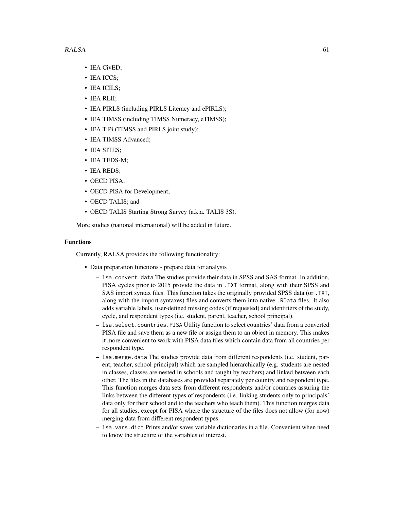- IEA CivED;
- IEA ICCS;
- IEA ICILS;
- IEA RLII;
- IEA PIRLS (including PIRLS Literacy and ePIRLS);
- IEA TIMSS (including TIMSS Numeracy, eTIMSS);
- IEA TiPi (TIMSS and PIRLS joint study);
- IEA TIMSS Advanced;
- IEA SITES;
- IEA TEDS-M;
- IEA REDS;
- OECD PISA;
- OECD PISA for Development;
- OECD TALIS; and
- OECD TALIS Starting Strong Survey (a.k.a. TALIS 3S).

More studies (national international) will be added in future.

#### Functions

Currently, RALSA provides the following functionality:

- Data preparation functions prepare data for analysis
	- lsa.convert.data The studies provide their data in SPSS and SAS format. In addition, PISA cycles prior to 2015 provide the data in .TXT format, along with their SPSS and SAS import syntax files. This function takes the originally provided SPSS data (or .TXT, along with the import syntaxes) files and converts them into native .RData files. It also adds variable labels, user-defined missing codes (if requested) and identifiers of the study, cycle, and respondent types (i.e. student, parent, teacher, school principal).
	- lsa.select.countries.PISA Utility function to select countries' data from a converted PISA file and save them as a new file or assign them to an object in memory. This makes it more convenient to work with PISA data files which contain data from all countries per respondent type.
	- lsa.merge.data The studies provide data from different respondents (i.e. student, parent, teacher, school principal) which are sampled hierarchically (e.g. students are nested in classes, classes are nested in schools and taught by teachers) and linked between each other. The files in the databases are provided separately per country and respondent type. This function merges data sets from different respondents and/or countries assuring the links between the different types of respondents (i.e. linking students only to principals' data only for their school and to the teachers who teach them). This function merges data for all studies, except for PISA where the structure of the files does not allow (for now) merging data from different respondent types.
	- lsa.vars.dict Prints and/or saves variable dictionaries in a file. Convenient when need to know the structure of the variables of interest.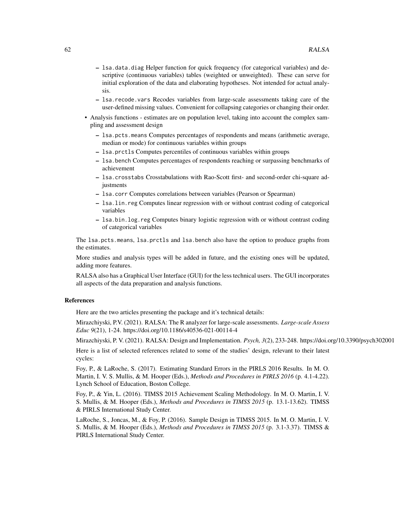- lsa.data.diag Helper function for quick frequency (for categorical variables) and descriptive (continuous variables) tables (weighted or unweighted). These can serve for initial exploration of the data and elaborating hypotheses. Not intended for actual analysis.
- lsa.recode.vars Recodes variables from large-scale assessments taking care of the user-defined missing values. Convenient for collapsing categories or changing their order.
- Analysis functions estimates are on population level, taking into account the complex sampling and assessment design
	- lsa.pcts.means Computes percentages of respondents and means (arithmetic average, median or mode) for continuous variables within groups
	- lsa.prctls Computes percentiles of continuous variables within groups
	- lsa.bench Computes percentages of respondents reaching or surpassing benchmarks of achievement
	- lsa.crosstabs Crosstabulations with Rao-Scott first- and second-order chi-square adiustments
	- lsa.corr Computes correlations between variables (Pearson or Spearman)
	- lsa.lin.reg Computes linear regression with or without contrast coding of categorical variables
	- lsa.bin.log.reg Computes binary logistic regression with or without contrast coding of categorical variables

The lsa.pcts.means, lsa.prctls and lsa.bench also have the option to produce graphs from the estimates.

More studies and analysis types will be added in future, and the existing ones will be updated, adding more features.

RALSA also has a Graphical User Interface (GUI) for the less technical users. The GUI incorporates all aspects of the data preparation and analysis functions.

### References

Here are the two articles presenting the package and it's technical details:

Mirazchiyski, P.V. (2021). RALSA: The R analyzer for large-scale assessments. *Large-scale Assess Educ 9*(21), 1-24. https://doi.org/10.1186/s40536-021-00114-4

Mirazchiyski, P. V. (2021). RALSA: Design and Implementation. *Psych, 3*(2), 233-248. https://doi.org/10.3390/psych3020018

Here is a list of selected references related to some of the studies' design, relevant to their latest cycles:

Foy, P., & LaRoche, S. (2017). Estimating Standard Errors in the PIRLS 2016 Results. In M. O. Martin, I. V. S. Mullis, & M. Hooper (Eds.), *Methods and Procedures in PIRLS 2016* (p. 4.1-4.22). Lynch School of Education, Boston College.

Foy, P., & Yin, L. (2016). TIMSS 2015 Achievement Scaling Methodology. In M. O. Martin, I. V. S. Mullis, & M. Hooper (Eds.), *Methods and Procedures in TIMSS 2015* (p. 13.1-13.62). TIMSS & PIRLS International Study Center.

LaRoche, S., Joncas, M., & Foy, P. (2016). Sample Design in TIMSS 2015. In M. O. Martin, I. V. S. Mullis, & M. Hooper (Eds.), *Methods and Procedures in TIMSS 2015* (p. 3.1-3.37). TIMSS & PIRLS International Study Center.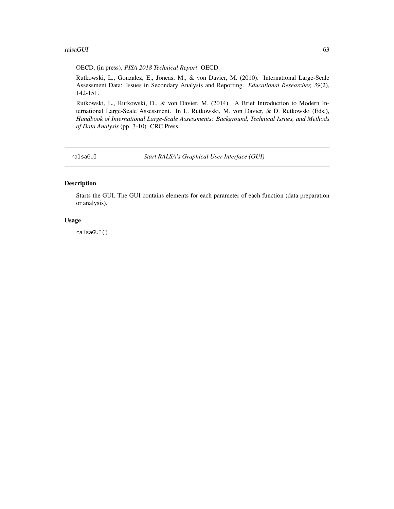#### <span id="page-62-0"></span>ralsaGUI 63

OECD. (in press). *PISA 2018 Technical Report*. OECD.

Rutkowski, L., Gonzalez, E., Joncas, M., & von Davier, M. (2010). International Large-Scale Assessment Data: Issues in Secondary Analysis and Reporting. *Educational Researcher, 39*(2), 142-151.

Rutkowski, L., Rutkowski, D., & von Davier, M. (2014). A Brief Introduction to Modern International Large-Scale Assessment. In L. Rutkowski, M. von Davier, & D. Rutkowski (Eds.), *Handbook of International Large-Scale Assessments: Background, Technical Issues, and Methods of Data Analysis* (pp. 3-10). CRC Press.

ralsaGUI *Start RALSA's Graphical User Interface (GUI)*

# Description

Starts the GUI. The GUI contains elements for each parameter of each function (data preparation or analysis).

#### Usage

ralsaGUI()